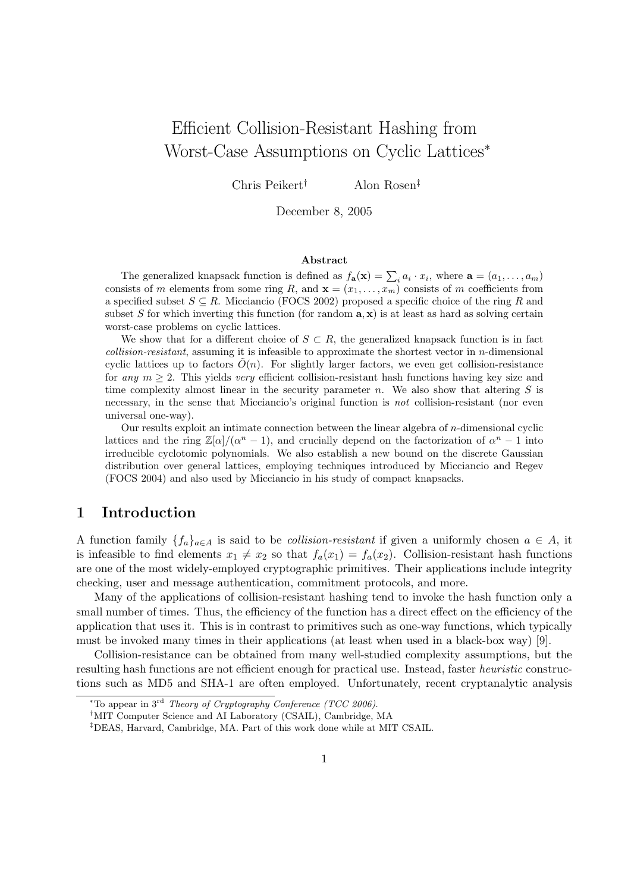# Efficient Collision-Resistant Hashing from Worst-Case Assumptions on Cyclic Lattices<sup>∗</sup>

Chris Peikert† Alon Rosen‡

December 8, 2005

#### Abstract

The generalized knapsack function is defined as  $f_{\mathbf{a}}(\mathbf{x}) = \sum_i a_i \cdot x_i$ , where  $\mathbf{a} = (a_1, \dots, a_m)$ consists of m elements from some ring R, and  $\mathbf{x} = (x_1, \dots, x_m)$  consists of m coefficients from a specified subset  $S \subseteq R$ . Micciancio (FOCS 2002) proposed a specific choice of the ring R and subset S for which inverting this function (for random  $\mathbf{a}, \mathbf{x}$ ) is at least as hard as solving certain worst-case problems on cyclic lattices.

We show that for a different choice of  $S \subset R$ , the generalized knapsack function is in fact collision-resistant, assuming it is infeasible to approximate the shortest vector in  $n$ -dimensional cyclic lattices up to factors  $\tilde{O}(n)$ . For slightly larger factors, we even get collision-resistance for any  $m > 2$ . This yields very efficient collision-resistant hash functions having key size and time complexity almost linear in the security parameter n. We also show that altering  $S$  is necessary, in the sense that Micciancio's original function is not collision-resistant (nor even universal one-way).

Our results exploit an intimate connection between the linear algebra of n-dimensional cyclic lattices and the ring  $\mathbb{Z}[\alpha]/(\alpha^n - 1)$ , and crucially depend on the factorization of  $\alpha^n - 1$  into irreducible cyclotomic polynomials. We also establish a new bound on the discrete Gaussian distribution over general lattices, employing techniques introduced by Micciancio and Regev (FOCS 2004) and also used by Micciancio in his study of compact knapsacks.

# 1 Introduction

A function family  ${f_a}_{a\in A}$  is said to be *collision-resistant* if given a uniformly chosen  $a \in A$ , it is infeasible to find elements  $x_1 \neq x_2$  so that  $f_a(x_1) = f_a(x_2)$ . Collision-resistant hash functions are one of the most widely-employed cryptographic primitives. Their applications include integrity checking, user and message authentication, commitment protocols, and more.

Many of the applications of collision-resistant hashing tend to invoke the hash function only a small number of times. Thus, the efficiency of the function has a direct effect on the efficiency of the application that uses it. This is in contrast to primitives such as one-way functions, which typically must be invoked many times in their applications (at least when used in a black-box way) [9].

Collision-resistance can be obtained from many well-studied complexity assumptions, but the resulting hash functions are not efficient enough for practical use. Instead, faster heuristic constructions such as MD5 and SHA-1 are often employed. Unfortunately, recent cryptanalytic analysis

<sup>\*</sup>To appear in  $3<sup>rd</sup>$  Theory of Cryptography Conference (TCC 2006).

<sup>†</sup>MIT Computer Science and AI Laboratory (CSAIL), Cambridge, MA

<sup>‡</sup>DEAS, Harvard, Cambridge, MA. Part of this work done while at MIT CSAIL.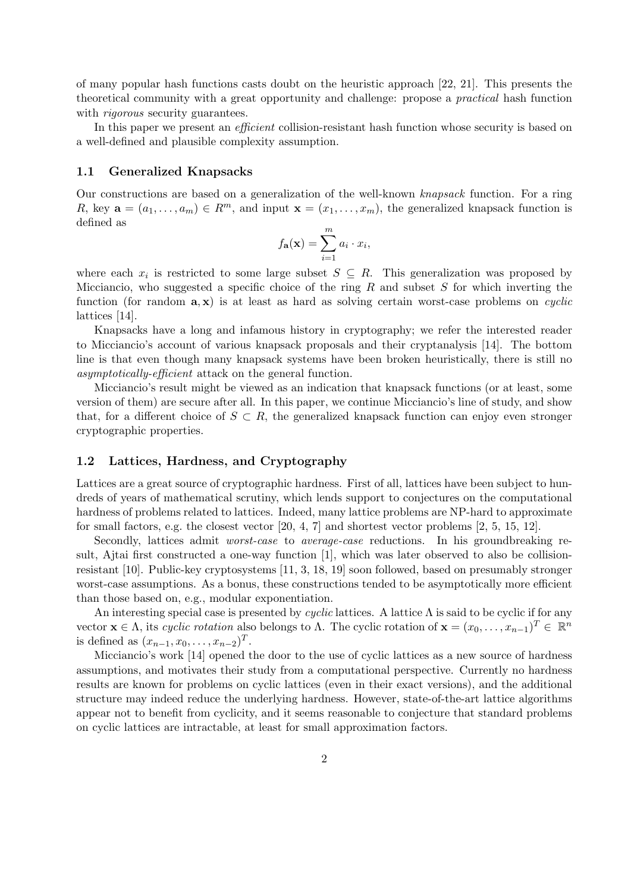of many popular hash functions casts doubt on the heuristic approach [22, 21]. This presents the theoretical community with a great opportunity and challenge: propose a practical hash function with *rigorous* security guarantees.

In this paper we present an *efficient* collision-resistant hash function whose security is based on a well-defined and plausible complexity assumption.

#### 1.1 Generalized Knapsacks

Our constructions are based on a generalization of the well-known knapsack function. For a ring R, key  $\mathbf{a} = (a_1, \ldots, a_m) \in R^m$ , and input  $\mathbf{x} = (x_1, \ldots, x_m)$ , the generalized knapsack function is defined as

$$
f_{\mathbf{a}}(\mathbf{x}) = \sum_{i=1}^{m} a_i \cdot x_i,
$$

where each  $x_i$  is restricted to some large subset  $S \subseteq R$ . This generalization was proposed by Micciancio, who suggested a specific choice of the ring R and subset S for which inverting the function (for random  $\mathbf{a}, \mathbf{x}$ ) is at least as hard as solving certain worst-case problems on *cyclic* lattices [14].

Knapsacks have a long and infamous history in cryptography; we refer the interested reader to Micciancio's account of various knapsack proposals and their cryptanalysis [14]. The bottom line is that even though many knapsack systems have been broken heuristically, there is still no asymptotically-efficient attack on the general function.

Micciancio's result might be viewed as an indication that knapsack functions (or at least, some version of them) are secure after all. In this paper, we continue Micciancio's line of study, and show that, for a different choice of  $S \subset R$ , the generalized knapsack function can enjoy even stronger cryptographic properties.

#### 1.2 Lattices, Hardness, and Cryptography

Lattices are a great source of cryptographic hardness. First of all, lattices have been subject to hundreds of years of mathematical scrutiny, which lends support to conjectures on the computational hardness of problems related to lattices. Indeed, many lattice problems are NP-hard to approximate for small factors, e.g. the closest vector [20, 4, 7] and shortest vector problems [2, 5, 15, 12].

Secondly, lattices admit *worst-case* to *average-case* reductions. In his groundbreaking result, Ajtai first constructed a one-way function [1], which was later observed to also be collisionresistant [10]. Public-key cryptosystems [11, 3, 18, 19] soon followed, based on presumably stronger worst-case assumptions. As a bonus, these constructions tended to be asymptotically more efficient than those based on, e.g., modular exponentiation.

An interesting special case is presented by cyclic lattices. A lattice  $\Lambda$  is said to be cyclic if for any vector  $\mathbf{x} \in \Lambda$ , its cyclic rotation also belongs to  $\Lambda$ . The cyclic rotation of  $\mathbf{x} = (x_0, \ldots, x_{n-1})^T \in \mathbb{R}^n$ is defined as  $(x_{n-1}, x_0, \ldots, x_{n-2})^T$ .

Micciancio's work [14] opened the door to the use of cyclic lattices as a new source of hardness assumptions, and motivates their study from a computational perspective. Currently no hardness results are known for problems on cyclic lattices (even in their exact versions), and the additional structure may indeed reduce the underlying hardness. However, state-of-the-art lattice algorithms appear not to benefit from cyclicity, and it seems reasonable to conjecture that standard problems on cyclic lattices are intractable, at least for small approximation factors.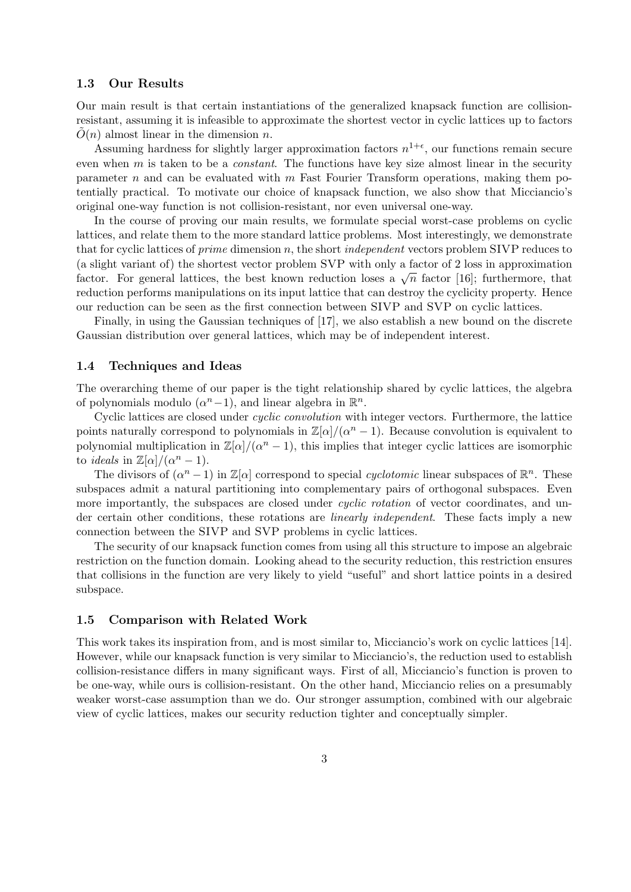#### 1.3 Our Results

Our main result is that certain instantiations of the generalized knapsack function are collisionresistant, assuming it is infeasible to approximate the shortest vector in cyclic lattices up to factors  $\tilde{O}(n)$  almost linear in the dimension n.

Assuming hardness for slightly larger approximation factors  $n^{1+\epsilon}$ , our functions remain secure even when  $m$  is taken to be a *constant*. The functions have key size almost linear in the security parameter n and can be evaluated with  $m$  Fast Fourier Transform operations, making them potentially practical. To motivate our choice of knapsack function, we also show that Micciancio's original one-way function is not collision-resistant, nor even universal one-way.

In the course of proving our main results, we formulate special worst-case problems on cyclic lattices, and relate them to the more standard lattice problems. Most interestingly, we demonstrate that for cyclic lattices of *prime* dimension n, the short *independent* vectors problem SIVP reduces to (a slight variant of) the shortest vector problem SVP with only a factor of 2 loss in approximation (a signit variant or) the shortest vector problem 5 v T with only a factor of 2 loss in approximation factor. For general lattices, the best known reduction loses a  $\sqrt{n}$  factor [16]; furthermore, that reduction performs manipulations on its input lattice that can destroy the cyclicity property. Hence our reduction can be seen as the first connection between SIVP and SVP on cyclic lattices.

Finally, in using the Gaussian techniques of [17], we also establish a new bound on the discrete Gaussian distribution over general lattices, which may be of independent interest.

#### 1.4 Techniques and Ideas

The overarching theme of our paper is the tight relationship shared by cyclic lattices, the algebra of polynomials modulo  $(\alpha^n - 1)$ , and linear algebra in  $\mathbb{R}^n$ .

Cyclic lattices are closed under cyclic convolution with integer vectors. Furthermore, the lattice points naturally correspond to polynomials in  $\mathbb{Z}[\alpha]/(\alpha^n - 1)$ . Because convolution is equivalent to polynomial multiplication in  $\mathbb{Z}[\alpha]/(\alpha^n - 1)$ , this implies that integer cyclic lattices are isomorphic to *ideals* in  $\mathbb{Z}[\alpha]/(\alpha^n - 1)$ .

The divisors of  $(\alpha^n - 1)$  in  $\mathbb{Z}[\alpha]$  correspond to special *cyclotomic* linear subspaces of  $\mathbb{R}^n$ . These subspaces admit a natural partitioning into complementary pairs of orthogonal subspaces. Even more importantly, the subspaces are closed under *cyclic rotation* of vector coordinates, and under certain other conditions, these rotations are linearly independent. These facts imply a new connection between the SIVP and SVP problems in cyclic lattices.

The security of our knapsack function comes from using all this structure to impose an algebraic restriction on the function domain. Looking ahead to the security reduction, this restriction ensures that collisions in the function are very likely to yield "useful" and short lattice points in a desired subspace.

#### 1.5 Comparison with Related Work

This work takes its inspiration from, and is most similar to, Micciancio's work on cyclic lattices [14]. However, while our knapsack function is very similar to Micciancio's, the reduction used to establish collision-resistance differs in many significant ways. First of all, Micciancio's function is proven to be one-way, while ours is collision-resistant. On the other hand, Micciancio relies on a presumably weaker worst-case assumption than we do. Our stronger assumption, combined with our algebraic view of cyclic lattices, makes our security reduction tighter and conceptually simpler.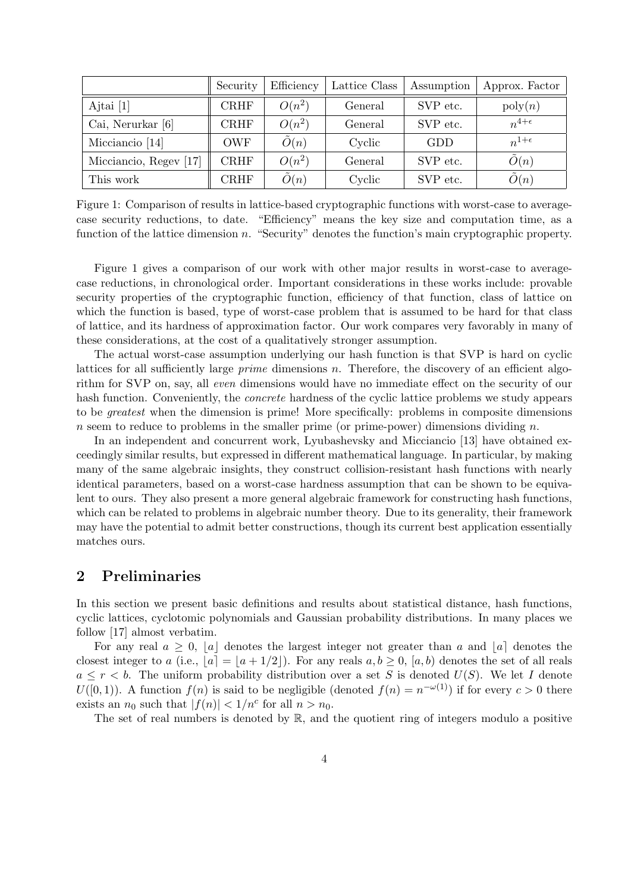|                        | Security    | Efficiency     | Lattice Class | Assumption | Approx. Factor     |
|------------------------|-------------|----------------|---------------|------------|--------------------|
| Ajtai $[1]$            | <b>CRHF</b> | $O(n^2)$       | General       | SVP etc.   | $\mathrm{poly}(n)$ |
| Cai, Nerurkar [6]      | <b>CRHF</b> | $O(n^2)$       | General       | SVP etc.   | $n^{4+\epsilon}$   |
| Micciancio [14]        | <b>OWF</b>  | $\tilde{O}(n)$ | Cyclic        | GDD        | $n^{1+\epsilon}$   |
| Micciancio, Regev [17] | <b>CRHF</b> | $O(n^2)$       | General       | SVP etc.   | $\tilde{O}(n)$     |
| This work              | $\rm CRHF$  | $\tilde{O}(n)$ | Cyclic        | SVP etc.   | $\tilde{O}(n)$     |

Figure 1: Comparison of results in lattice-based cryptographic functions with worst-case to averagecase security reductions, to date. "Efficiency" means the key size and computation time, as a function of the lattice dimension n. "Security" denotes the function's main cryptographic property.

Figure 1 gives a comparison of our work with other major results in worst-case to averagecase reductions, in chronological order. Important considerations in these works include: provable security properties of the cryptographic function, efficiency of that function, class of lattice on which the function is based, type of worst-case problem that is assumed to be hard for that class of lattice, and its hardness of approximation factor. Our work compares very favorably in many of these considerations, at the cost of a qualitatively stronger assumption.

The actual worst-case assumption underlying our hash function is that SVP is hard on cyclic lattices for all sufficiently large *prime* dimensions  $n$ . Therefore, the discovery of an efficient algorithm for SVP on, say, all even dimensions would have no immediate effect on the security of our hash function. Conveniently, the *concrete* hardness of the cyclic lattice problems we study appears to be greatest when the dimension is prime! More specifically: problems in composite dimensions n seem to reduce to problems in the smaller prime (or prime-power) dimensions dividing n.

In an independent and concurrent work, Lyubashevsky and Micciancio [13] have obtained exceedingly similar results, but expressed in different mathematical language. In particular, by making many of the same algebraic insights, they construct collision-resistant hash functions with nearly identical parameters, based on a worst-case hardness assumption that can be shown to be equivalent to ours. They also present a more general algebraic framework for constructing hash functions, which can be related to problems in algebraic number theory. Due to its generality, their framework may have the potential to admit better constructions, though its current best application essentially matches ours.

# 2 Preliminaries

In this section we present basic definitions and results about statistical distance, hash functions, cyclic lattices, cyclotomic polynomials and Gaussian probability distributions. In many places we follow [17] almost verbatim.

For any real  $a \geq 0$ , |a| denotes the largest integer not greater than a and |a| denotes the closest integer to a (i.e.,  $|a| = |a + 1/2|$ ). For any reals  $a, b \ge 0$ ,  $[a, b]$  denotes the set of all reals  $a \leq r < b$ . The uniform probability distribution over a set S is denoted  $U(S)$ . We let I denote  $U([0,1))$ . A function  $f(n)$  is said to be negligible (denoted  $f(n) = n^{-\omega(1)}$ ) if for every  $c > 0$  there exists an  $n_0$  such that  $|f(n)| < 1/n^c$  for all  $n > n_0$ .

The set of real numbers is denoted by  $\mathbb{R}$ , and the quotient ring of integers modulo a positive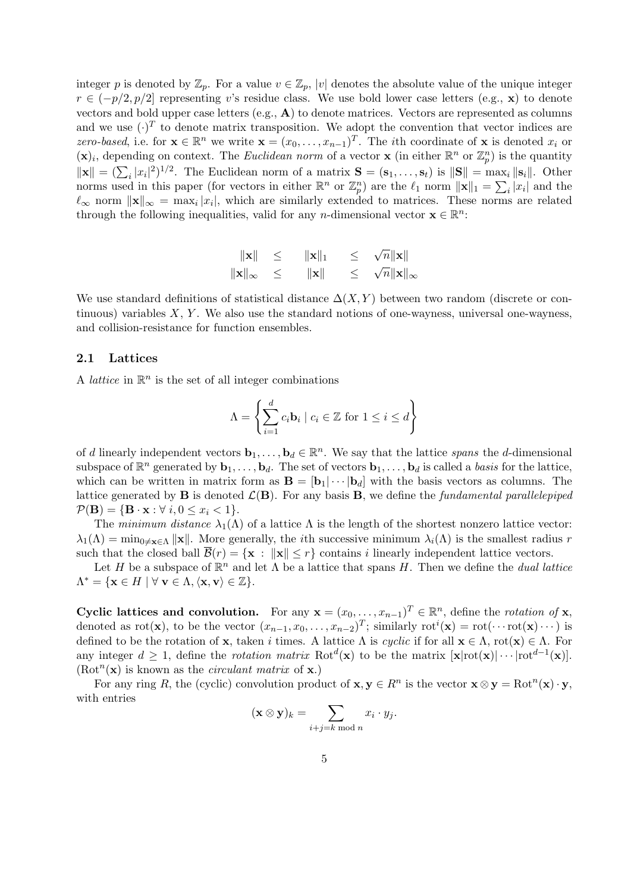integer p is denoted by  $\mathbb{Z}_p$ . For a value  $v \in \mathbb{Z}_p$ , |v| denotes the absolute value of the unique integer  $r \in (-p/2, p/2]$  representing v's residue class. We use bold lower case letters (e.g., x) to denote vectors and bold upper case letters  $(e.g., A)$  to denote matrices. Vectors are represented as columns and we use  $(\cdot)^T$  to denote matrix transposition. We adopt the convention that vector indices are zero-based, i.e. for  $\mathbf{x} \in \mathbb{R}^n$  we write  $\mathbf{x} = (x_0, \dots, x_{n-1})^T$ . The *i*th coordinate of **x** is denoted  $x_i$  or  $(\mathbf{x})_i$ , depending on context. The *Euclidean norm* of a vector **x** (in either  $\mathbb{R}^n$  or  $\mathbb{Z}_p^n$ ) is the quantity  $\|\mathbf{x}\| = (\sum_i |x_i|^2)^{1/2}$ . The Euclidean norm of a matrix  $\mathbf{S} = (\mathbf{s}_1, \dots, \mathbf{s}_t)$  is  $\|\mathbf{S}\| = \max_i \|\mathbf{s}_i\|$ . Other norms used in this paper (for vectors in either  $\mathbb{R}^n$  or  $\mathbb{Z}_p^n$ ) are the  $\ell_1$  norm  $\|\mathbf{x}\|_1 = \sum_i |x_i|$  and the  $\ell_{\infty}$  norm  $\|\mathbf{x}\|_{\infty} = \max_i |x_i|$ , which are similarly extended to matrices. These norms are related through the following inequalities, valid for any *n*-dimensional vector  $\mathbf{x} \in \mathbb{R}^n$ :

$$
\begin{array}{rcl}\n\|\mathbf{x}\| & \leq & \|\mathbf{x}\|_1 & \leq & \sqrt{n} \|\mathbf{x}\| \\
\|\mathbf{x}\|_{\infty} & \leq & \|\mathbf{x}\| & \leq & \sqrt{n} \|\mathbf{x}\|_{\infty}\n\end{array}
$$

We use standard definitions of statistical distance  $\Delta(X, Y)$  between two random (discrete or continuous) variables  $X, Y$ . We also use the standard notions of one-wayness, universal one-wayness, and collision-resistance for function ensembles.

#### 2.1 Lattices

A *lattice* in  $\mathbb{R}^n$  is the set of all integer combinations

$$
\Lambda = \left\{ \sum_{i=1}^{d} c_i \mathbf{b}_i \mid c_i \in \mathbb{Z} \text{ for } 1 \leq i \leq d \right\}
$$

of d linearly independent vectors  $\mathbf{b}_1, \ldots, \mathbf{b}_d \in \mathbb{R}^n$ . We say that the lattice spans the d-dimensional subspace of  $\mathbb{R}^n$  generated by  $\mathbf{b}_1, \ldots, \mathbf{b}_d$ . The set of vectors  $\mathbf{b}_1, \ldots, \mathbf{b}_d$  is called a *basis* for the lattice, which can be written in matrix form as  $\mathbf{B} = [\mathbf{b}_1 | \cdots | \mathbf{b}_d]$  with the basis vectors as columns. The lattice generated by **B** is denoted  $\mathcal{L}(\mathbf{B})$ . For any basis **B**, we define the *fundamental parallelepiped*  $\mathcal{P}(\mathbf{B}) = \{ \mathbf{B} \cdot \mathbf{x} : \forall i, 0 \leq x_i < 1 \}.$ 

The minimum distance  $\lambda_1(\Lambda)$  of a lattice  $\Lambda$  is the length of the shortest nonzero lattice vector:  $\lambda_1(\Lambda) = \min_{0 \leq x \in \Lambda} ||x||$ . More generally, the *i*th successive minimum  $\lambda_i(\Lambda)$  is the smallest radius r such that the closed ball  $\overline{\mathcal{B}}(r) = \{x : ||x|| \leq r\}$  contains i linearly independent lattice vectors.

Let H be a subspace of  $\mathbb{R}^n$  and let  $\Lambda$  be a lattice that spans H. Then we define the *dual lattice*  $\Lambda^* = \{ \mathbf{x} \in H \mid \forall \ \mathbf{v} \in \Lambda, \langle \mathbf{x}, \mathbf{v} \rangle \in \mathbb{Z} \}.$ 

Cyclic lattices and convolution. For any  $\mathbf{x} = (x_0, \dots, x_{n-1})^T \in \mathbb{R}^n$ , define the *rotation of* **x**, denoted as rot(**x**), to be the vector  $(x_{n-1}, x_0, \ldots, x_{n-2})^T$ ; similarly  $\text{rot}^i(\mathbf{x}) = \text{rot}(\cdots \text{rot}(\mathbf{x}) \cdots)$  is defined to be the rotation of x, taken i times. A lattice  $\Lambda$  is cyclic if for all  $\mathbf{x} \in \Lambda$ , rot $(\mathbf{x}) \in \Lambda$ . For any integer  $d \geq 1$ , define the *rotation matrix* Rot<sup> $d$ </sup>(**x**) to be the matrix  $[\mathbf{x} | \text{rot}(\mathbf{x}) | \cdots | \text{rot}^{d-1}(\mathbf{x})]$ .  $(\text{Rot}^n(\mathbf{x})$  is known as the *circulant matrix* of **x**.)

For any ring R, the (cyclic) convolution product of  $\mathbf{x}, \mathbf{y} \in R^n$  is the vector  $\mathbf{x} \otimes \mathbf{y} = \text{Rot}^n(\mathbf{x}) \cdot \mathbf{y}$ , with entries

$$
(\mathbf{x} \otimes \mathbf{y})_k = \sum_{i+j=k \bmod n} x_i \cdot y_j.
$$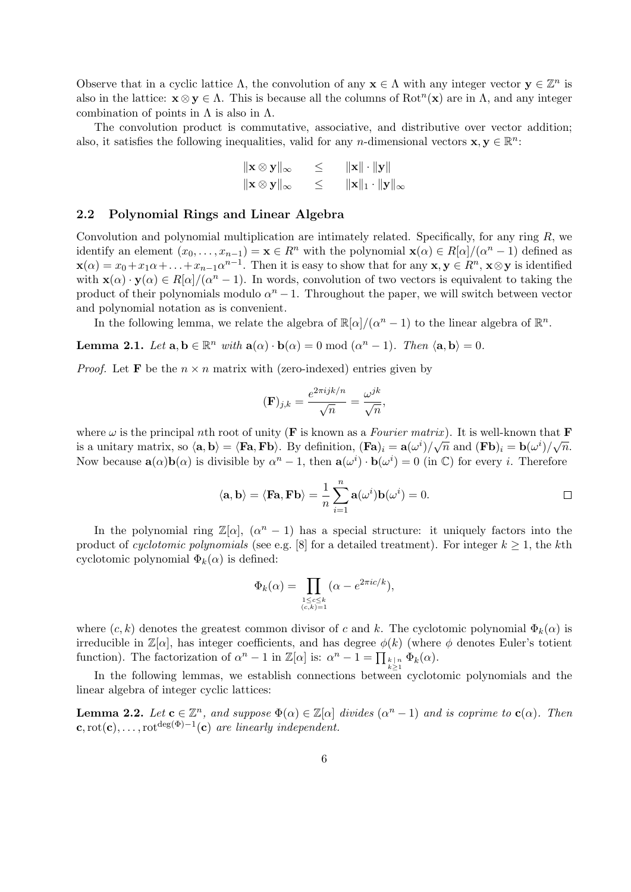Observe that in a cyclic lattice  $\Lambda$ , the convolution of any  $\mathbf{x} \in \Lambda$  with any integer vector  $\mathbf{y} \in \mathbb{Z}^n$  is also in the lattice:  $\mathbf{x} \otimes \mathbf{y} \in \Lambda$ . This is because all the columns of  $Rot^{n}(\mathbf{x})$  are in  $\Lambda$ , and any integer combination of points in  $\Lambda$  is also in  $\Lambda$ .

The convolution product is commutative, associative, and distributive over vector addition; also, it satisfies the following inequalities, valid for any *n*-dimensional vectors  $\mathbf{x}, \mathbf{y} \in \mathbb{R}^n$ :

$$
\|\mathbf{x} \otimes \mathbf{y}\|_{\infty} \leq \|\mathbf{x}\| \cdot \|\mathbf{y}\|
$$
  

$$
\|\mathbf{x} \otimes \mathbf{y}\|_{\infty} \leq \|\mathbf{x}\|_1 \cdot \|\mathbf{y}\|_{\infty}
$$

## 2.2 Polynomial Rings and Linear Algebra

Convolution and polynomial multiplication are intimately related. Specifically, for any ring  $R$ , we identify an element  $(x_0, \ldots, x_{n-1}) = \mathbf{x} \in \mathbb{R}^n$  with the polynomial  $\mathbf{x}(\alpha) \in R[\alpha]/(\alpha^n - 1)$  defined as  $\mathbf{x}(\alpha) = x_0 + x_1 \alpha + \ldots + x_{n-1} \alpha^{n-1}$ . Then it is easy to show that for any  $\mathbf{x}, \mathbf{y} \in \mathbb{R}^n$ ,  $\mathbf{x} \otimes \mathbf{y}$  is identified with  $\mathbf{x}(\alpha) \cdot \mathbf{y}(\alpha) \in R[\alpha]/(\alpha^n - 1)$ . In words, convolution of two vectors is equivalent to taking the product of their polynomials modulo  $\alpha^{n} - 1$ . Throughout the paper, we will switch between vector and polynomial notation as is convenient.

In the following lemma, we relate the algebra of  $\mathbb{R}[\alpha]/(\alpha^n - 1)$  to the linear algebra of  $\mathbb{R}^n$ .

**Lemma 2.1.** Let  $\mathbf{a}, \mathbf{b} \in \mathbb{R}^n$  with  $\mathbf{a}(\alpha) \cdot \mathbf{b}(\alpha) = 0 \mod (\alpha^n - 1)$ . Then  $\langle \mathbf{a}, \mathbf{b} \rangle = 0$ .

*Proof.* Let **F** be the  $n \times n$  matrix with (zero-indexed) entries given by

$$
(\mathbf{F})_{j,k} = \frac{e^{2\pi i jk/n}}{\sqrt{n}} = \frac{\omega^{jk}}{\sqrt{n}},
$$

where  $\omega$  is the principal nth root of unity (**F** is known as a *Fourier matrix*). It is well-known that **F** is a unitary matrix, so  $\langle \mathbf{a}, \mathbf{b} \rangle = \langle \mathbf{Fa}, \mathbf{Fb} \rangle$ . By definition,  $(\mathbf{Fa})_i = \mathbf{a}(\omega^i) / \sqrt{n}$  and  $(\mathbf{Fb})_i = \mathbf{b}(\omega^i) / \sqrt{n}$ . Now because  $\mathbf{a}(\alpha)\mathbf{b}(\alpha)$  is divisible by  $\alpha^n - 1$ , then  $\mathbf{a}(\omega^i) \cdot \mathbf{b}(\omega^i) = 0$  (in  $\mathbb{C}$ ) for every *i*. Therefore

$$
\langle \mathbf{a}, \mathbf{b} \rangle = \langle \mathbf{F} \mathbf{a}, \mathbf{F} \mathbf{b} \rangle = \frac{1}{n} \sum_{i=1}^{n} \mathbf{a}(\omega^{i}) \mathbf{b}(\omega^{i}) = 0.
$$

In the polynomial ring  $\mathbb{Z}[\alpha], (\alpha^{n} - 1)$  has a special structure: it uniquely factors into the product of cyclotomic polynomials (see e.g. [8] for a detailed treatment). For integer  $k \ge 1$ , the kth cyclotomic polynomial  $\Phi_k(\alpha)$  is defined:

$$
\Phi_k(\alpha) = \prod_{\substack{1 \le c \le k \\ (c,k)=1}} (\alpha - e^{2\pi i c/k}),
$$

where  $(c, k)$  denotes the greatest common divisor of c and k. The cyclotomic polynomial  $\Phi_k(\alpha)$  is irreducible in  $\mathbb{Z}[\alpha]$ , has integer coefficients, and has degree  $\phi(k)$  (where  $\phi$  denotes Euler's totient function). The factorization of  $\alpha^n - 1$  in  $\mathbb{Z}[\alpha]$  is:  $\alpha^n - 1 = \prod_{\substack{k=1 \ k \geq 1}}^{\infty} \Phi_k(\alpha)$ .

In the following lemmas, we establish connections between cyclotomic polynomials and the linear algebra of integer cyclic lattices:

**Lemma 2.2.** Let  $\mathbf{c} \in \mathbb{Z}^n$ , and suppose  $\Phi(\alpha) \in \mathbb{Z}[\alpha]$  divides  $(\alpha^n - 1)$  and is coprime to  $\mathbf{c}(\alpha)$ . Then  $\mathbf{c}, \text{rot}(\mathbf{c}), \ldots, \text{rot}^{\text{deg}(\Phi)-1}(\mathbf{c})$  are linearly independent.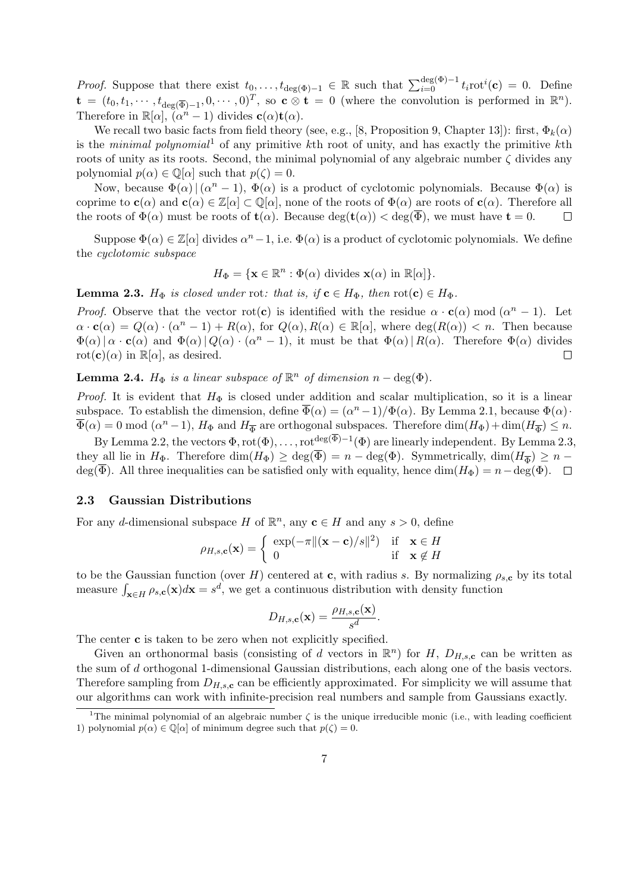*Proof.* Suppose that there exist  $t_0, \ldots, t_{\deg(\Phi)-1} \in \mathbb{R}$  such that  $\sum_{i=0}^{\deg(\Phi)-1} t_i$ rot $i(\mathbf{c}) = 0$ . Define  $\mathbf{t} = (t_0, t_1, \dots, t_{\deg(\overline{\Phi})-1}, 0, \dots, 0)^T$ , so  $\mathbf{c} \otimes \mathbf{t} = 0$  (where the convolution is performed in  $\mathbb{R}^n$ ). Therefore in  $\mathbb{R}[\alpha], (\alpha^n - 1)$  divides  $\mathbf{c}(\alpha)\mathbf{t}(\alpha)$ .

We recall two basic facts from field theory (see, e.g., [8, Proposition 9, Chapter 13]): first,  $\Phi_k(\alpha)$ is the minimal polynomial<sup>1</sup> of any primitive kth root of unity, and has exactly the primitive kth roots of unity as its roots. Second, the minimal polynomial of any algebraic number  $\zeta$  divides any polynomial  $p(\alpha) \in \mathbb{Q}[\alpha]$  such that  $p(\zeta) = 0$ .

Now, because  $\Phi(\alpha) | (\alpha^{n} - 1), \Phi(\alpha)$  is a product of cyclotomic polynomials. Because  $\Phi(\alpha)$  is coprime to  $\mathbf{c}(\alpha)$  and  $\mathbf{c}(\alpha) \in \mathbb{Z}[\alpha] \subset \mathbb{Q}[\alpha]$ , none of the roots of  $\Phi(\alpha)$  are roots of  $\mathbf{c}(\alpha)$ . Therefore all the roots of  $\Phi(\alpha)$  must be roots of  $\mathbf{t}(\alpha)$ . Because deg( $\mathbf{t}(\alpha)$ )  $\lt$  deg( $\overline{\Phi}$ ), we must have  $\mathbf{t} = 0$ .  $\Box$ 

Suppose  $\Phi(\alpha) \in \mathbb{Z}[\alpha]$  divides  $\alpha^{n}-1$ , i.e.  $\Phi(\alpha)$  is a product of cyclotomic polynomials. We define the cyclotomic subspace

$$
H_{\Phi} = \{ \mathbf{x} \in \mathbb{R}^n : \Phi(\alpha) \text{ divides } \mathbf{x}(\alpha) \text{ in } \mathbb{R}[\alpha] \}.
$$

**Lemma 2.3.**  $H_{\Phi}$  is closed under rot: that is, if  $\mathbf{c} \in H_{\Phi}$ , then  $\text{rot}(\mathbf{c}) \in H_{\Phi}$ .

*Proof.* Observe that the vector rot(c) is identified with the residue  $\alpha \cdot c(\alpha)$  mod  $(\alpha^{n} - 1)$ . Let  $\alpha \cdot c(\alpha) = Q(\alpha) \cdot (\alpha^{n} - 1) + R(\alpha)$ , for  $Q(\alpha), R(\alpha) \in \mathbb{R}[\alpha]$ , where  $\deg(R(\alpha)) < n$ . Then because  $\Phi(\alpha) | \alpha \cdot c(\alpha)$  and  $\Phi(\alpha) | Q(\alpha) \cdot (\alpha^{n} - 1)$ , it must be that  $\Phi(\alpha) | R(\alpha)$ . Therefore  $\Phi(\alpha)$  divides  $rot(c)(\alpha)$  in  $\mathbb{R}[\alpha]$ , as desired.  $\Box$ 

**Lemma 2.4.**  $H_{\Phi}$  is a linear subspace of  $\mathbb{R}^n$  of dimension  $n - \deg(\Phi)$ .

*Proof.* It is evident that  $H_{\Phi}$  is closed under addition and scalar multiplication, so it is a linear subspace. To establish the dimension, define  $\overline{\Phi}(\alpha) = (\alpha^n - 1)/\Phi(\alpha)$ . By Lemma 2.1, because  $\Phi(\alpha)$ .  $\overline{\Phi}(\alpha) = 0 \mod (\alpha^{n} - 1)$ ,  $H_{\Phi}$  and  $H_{\overline{\Phi}}$  are orthogonal subspaces. Therefore  $\dim(H_{\Phi}) + \dim(H_{\overline{\Phi}}) \leq n$ .

By Lemma 2.2, the vectors  $\Phi$ , rot $(\Phi)$ , ..., rot<sup>deg( $\overline{\Phi}$ )-1( $\Phi$ ) are linearly independent. By Lemma 2.3,</sup> they all lie in  $H_{\Phi}$ . Therefore  $\dim(H_{\Phi}) \geq \deg(\Phi) = n - \deg(\Phi)$ . Symmetrically,  $\dim(H_{\overline{\Phi}}) \geq n$ deg( $\overline{\Phi}$ ). All three inequalities can be satisfied only with equality, hence  $\dim(H_{\Phi}) = n - \deg(\Phi)$ .  $\Box$ 

## 2.3 Gaussian Distributions

For any d-dimensional subspace H of  $\mathbb{R}^n$ , any  $\mathbf{c} \in H$  and any  $s > 0$ , define

$$
\rho_{H,s,\mathbf{c}}(\mathbf{x}) = \begin{cases} \exp(-\pi \|(\mathbf{x}-\mathbf{c})/s\|^2) & \text{if } \mathbf{x} \in H \\ 0 & \text{if } \mathbf{x} \notin H \end{cases}
$$

to be the Gaussian function (over H) centered at c, with radius s. By normalizing  $\rho_{s,c}$  by its total measure  $\int_{\mathbf{x}\in H} \rho_{s,c}(\mathbf{x})d\mathbf{x} = s^d$ , we get a continuous distribution with density function

$$
D_{H,s,\mathbf{c}}(\mathbf{x}) = \frac{\rho_{H,s,\mathbf{c}}(\mathbf{x})}{s^d}.
$$

The center **c** is taken to be zero when not explicitly specified.

Given an orthonormal basis (consisting of d vectors in  $\mathbb{R}^n$ ) for H,  $D_{H,s,c}$  can be written as the sum of d orthogonal 1-dimensional Gaussian distributions, each along one of the basis vectors. Therefore sampling from  $D_{H,s,c}$  can be efficiently approximated. For simplicity we will assume that our algorithms can work with infinite-precision real numbers and sample from Gaussians exactly.

<sup>&</sup>lt;sup>1</sup>The minimal polynomial of an algebraic number  $\zeta$  is the unique irreducible monic (i.e., with leading coefficient 1) polynomial  $p(\alpha) \in \mathbb{Q}[\alpha]$  of minimum degree such that  $p(\zeta) = 0$ .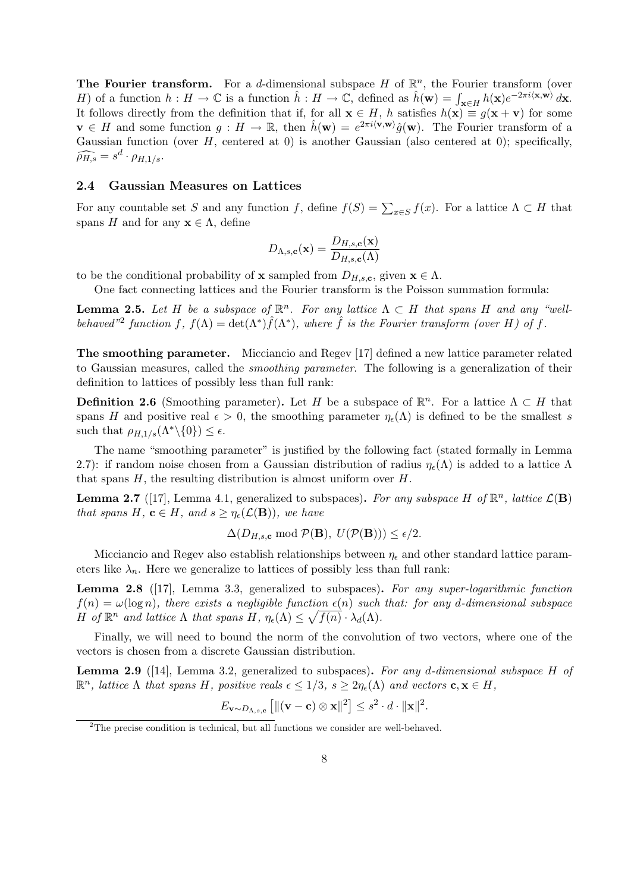The Fourier transform. For a d-dimensional subspace H of  $\mathbb{R}^n$ , the Fourier transform (over H) of a function  $h: H \to \mathbb{C}$  is a function  $\hat{h}: H \to \mathbb{C}$ , defined as  $\hat{h}(\mathbf{w}) = \int_{\mathbf{x} \in H} h(\mathbf{x}) e^{-2\pi i \langle \mathbf{x}, \mathbf{w} \rangle} d\mathbf{x}$ . It follows directly from the definition that if, for all  $\mathbf{x} \in H$ , h satisfies  $h(\mathbf{x}) \equiv g(\mathbf{x} + \mathbf{v})$  for some  $\mathbf{v} \in H$  and some function  $g: H \to \mathbb{R}$ , then  $\hat{h}(\mathbf{w}) = e^{2\pi i \langle \mathbf{v}, \mathbf{w} \rangle} \hat{g}(\mathbf{w})$ . The Fourier transform of a Gaussian function (over  $H$ , centered at 0) is another Gaussian (also centered at 0); specifically,  $\widehat{\rho_{H,s}} = s^d \cdot \rho_{H,1/s}.$ 

#### 2.4 Gaussian Measures on Lattices

For any countable set S and any function f, define  $f(S) = \sum_{x \in S} f(x)$ . For a lattice  $\Lambda \subset H$  that spans H and for any  $\mathbf{x} \in \Lambda$ , define

$$
D_{\Lambda,s,\mathbf{c}}(\mathbf{x}) = \frac{D_{H,s,\mathbf{c}}(\mathbf{x})}{D_{H,s,\mathbf{c}}(\Lambda)}
$$

to be the conditional probability of **x** sampled from  $D_{H,s,c}$ , given  $\mathbf{x} \in \Lambda$ .

One fact connecting lattices and the Fourier transform is the Poisson summation formula:

**Lemma 2.5.** Let H be a subspace of  $\mathbb{R}^n$ . For any lattice  $\Lambda \subset H$  that spans H and any "wellbehaved<sup>"2</sup> function f,  $f(\Lambda) = \det(\Lambda^*) \hat{f}(\Lambda^*)$ , where  $\hat{f}$  is the Fourier transform (over H) of f.

The smoothing parameter. Micciancio and Regev [17] defined a new lattice parameter related to Gaussian measures, called the smoothing parameter. The following is a generalization of their definition to lattices of possibly less than full rank:

**Definition 2.6** (Smoothing parameter). Let H be a subspace of  $\mathbb{R}^n$ . For a lattice  $\Lambda \subset H$  that spans H and positive real  $\epsilon > 0$ , the smoothing parameter  $\eta_{\epsilon}(\Lambda)$  is defined to be the smallest s such that  $\rho_{H,1/s}(\Lambda^*\backslash\{0\}) \leq \epsilon$ .

The name "smoothing parameter" is justified by the following fact (stated formally in Lemma 2.7): if random noise chosen from a Gaussian distribution of radius  $\eta_{\epsilon}(\Lambda)$  is added to a lattice  $\Lambda$ that spans  $H$ , the resulting distribution is almost uniform over  $H$ .

**Lemma 2.7** ([17], Lemma 4.1, generalized to subspaces). For any subspace H of  $\mathbb{R}^n$ , lattice  $\mathcal{L}(\mathbf{B})$ that spans H,  $c \in H$ , and  $s \geq \eta_{\epsilon}(\mathcal{L}(\mathbf{B}))$ , we have

$$
\Delta(D_{H,s,\mathbf{c}}\bmod \mathcal{P}(\mathbf{B}),\ U(\mathcal{P}(\mathbf{B}))) \le \epsilon/2.
$$

Micciancio and Regev also establish relationships between  $\eta_{\epsilon}$  and other standard lattice parameters like  $\lambda_n$ . Here we generalize to lattices of possibly less than full rank:

Lemma 2.8 ([17], Lemma 3.3, generalized to subspaces). For any super-logarithmic function  $f(n) = \omega(\log n)$ , there exists a negligible function  $\epsilon(n)$  such that: for any d-dimensional subspace H of  $\mathbb{R}^n$  and lattice  $\Lambda$  that spans  $H$ ,  $\eta_{\epsilon}(\Lambda) \leq \sqrt{f(n)} \cdot \lambda_d(\Lambda)$ .

Finally, we will need to bound the norm of the convolution of two vectors, where one of the vectors is chosen from a discrete Gaussian distribution.

**Lemma 2.9** ([14], Lemma 3.2, generalized to subspaces). For any d-dimensional subspace H of  $\mathbb{R}^n$ , lattice  $\Lambda$  that spans H, positive reals  $\epsilon \leq 1/3$ ,  $s \geq 2\eta_{\epsilon}(\Lambda)$  and vectors  $\mathbf{c}, \mathbf{x} \in H$ ,

$$
E_{\mathbf{v}\sim D_{\Lambda,s,\mathbf{c}}}\left[\|\mathbf{(v-c)}\otimes\mathbf{x}\|^2\right]\leq s^2\cdot d\cdot\|\mathbf{x}\|^2.
$$

<sup>&</sup>lt;sup>2</sup>The precise condition is technical, but all functions we consider are well-behaved.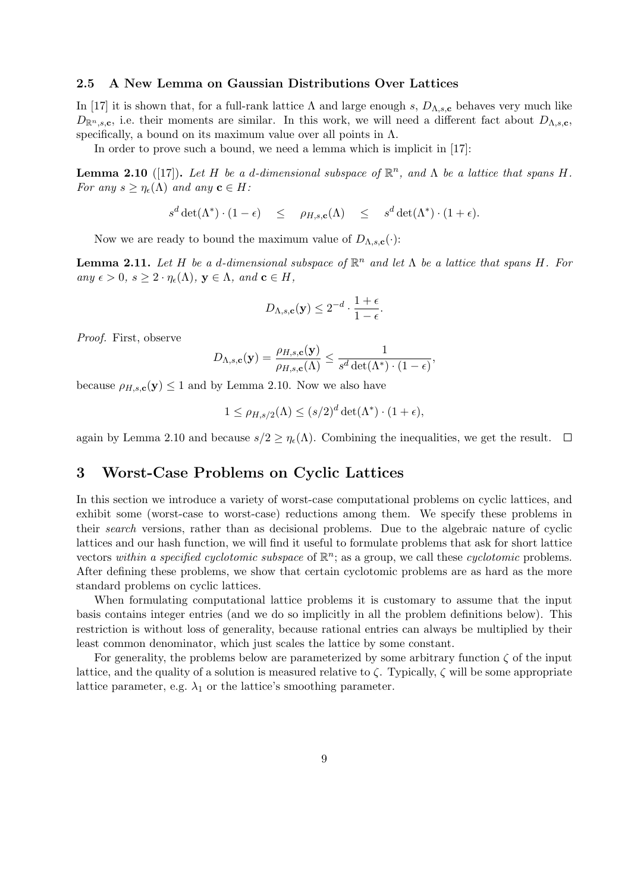#### 2.5 A New Lemma on Gaussian Distributions Over Lattices

In [17] it is shown that, for a full-rank lattice  $\Lambda$  and large enough s,  $D_{\Lambda,s,c}$  behaves very much like  $D_{\mathbb{R}^n,s,c}$ , i.e. their moments are similar. In this work, we will need a different fact about  $D_{\Lambda,s,c}$ , specifically, a bound on its maximum value over all points in  $\Lambda$ .

In order to prove such a bound, we need a lemma which is implicit in [17]:

**Lemma 2.10** ([17]). Let H be a d-dimensional subspace of  $\mathbb{R}^n$ , and  $\Lambda$  be a lattice that spans H. For any  $s \geq \eta_{\epsilon}(\Lambda)$  and any  $\mathbf{c} \in H$ :

$$
s^d \det(\Lambda^*) \cdot (1 - \epsilon) \leq \rho_{H, s, \mathbf{c}}(\Lambda) \leq s^d \det(\Lambda^*) \cdot (1 + \epsilon).
$$

Now we are ready to bound the maximum value of  $D_{\Lambda,s,\mathbf{c}}(\cdot)$ :

**Lemma 2.11.** Let H be a d-dimensional subspace of  $\mathbb{R}^n$  and let  $\Lambda$  be a lattice that spans H. For any  $\epsilon > 0$ ,  $s \geq 2 \cdot \eta_{\epsilon}(\Lambda)$ ,  $\mathbf{y} \in \Lambda$ , and  $\mathbf{c} \in H$ ,

$$
D_{\Lambda,s,\mathbf{c}}(\mathbf{y}) \le 2^{-d} \cdot \frac{1+\epsilon}{1-\epsilon}.
$$

Proof. First, observe

$$
D_{\Lambda,s,\mathbf{c}}(\mathbf{y}) = \frac{\rho_{H,s,\mathbf{c}}(\mathbf{y})}{\rho_{H,s,\mathbf{c}}(\Lambda)} \le \frac{1}{s^d \det(\Lambda^*) \cdot (1-\epsilon)},
$$

because  $\rho_{H,s,\mathbf{c}}(\mathbf{y}) \leq 1$  and by Lemma 2.10. Now we also have

$$
1 \leq \rho_{H,s/2}(\Lambda) \leq (s/2)^d \det(\Lambda^*) \cdot (1+\epsilon),
$$

again by Lemma 2.10 and because  $s/2 \geq \eta_e(\Lambda)$ . Combining the inequalities, we get the result.  $\Box$ 

# 3 Worst-Case Problems on Cyclic Lattices

In this section we introduce a variety of worst-case computational problems on cyclic lattices, and exhibit some (worst-case to worst-case) reductions among them. We specify these problems in their search versions, rather than as decisional problems. Due to the algebraic nature of cyclic lattices and our hash function, we will find it useful to formulate problems that ask for short lattice vectors within a specified cyclotomic subspace of  $\mathbb{R}^n$ ; as a group, we call these cyclotomic problems. After defining these problems, we show that certain cyclotomic problems are as hard as the more standard problems on cyclic lattices.

When formulating computational lattice problems it is customary to assume that the input basis contains integer entries (and we do so implicitly in all the problem definitions below). This restriction is without loss of generality, because rational entries can always be multiplied by their least common denominator, which just scales the lattice by some constant.

For generality, the problems below are parameterized by some arbitrary function  $\zeta$  of the input lattice, and the quality of a solution is measured relative to  $\zeta$ . Typically,  $\zeta$  will be some appropriate lattice parameter, e.g.  $\lambda_1$  or the lattice's smoothing parameter.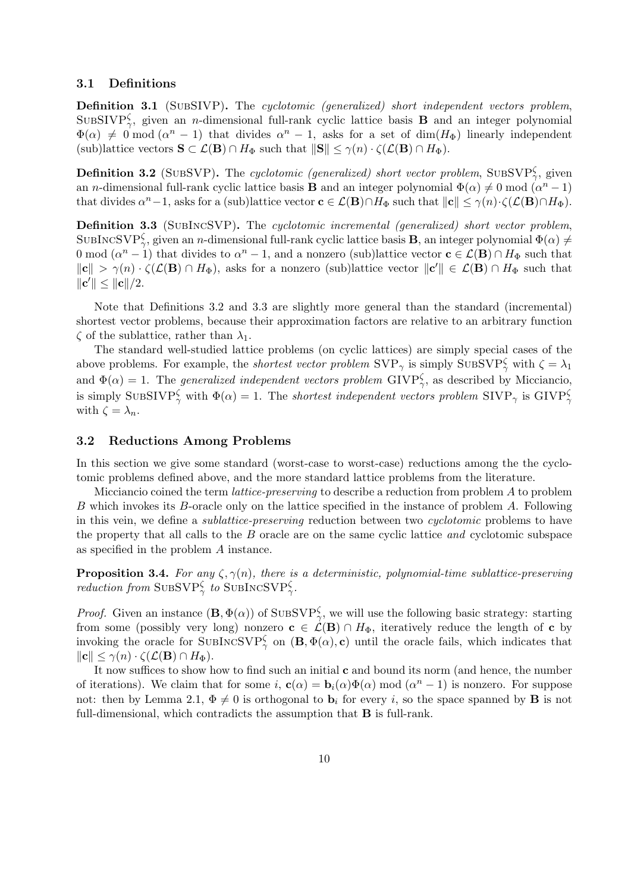#### 3.1 Definitions

Definition 3.1 (SUBSIVP). The cyclotomic (generalized) short independent vectors problem, SUBSIVP $\zeta$ , given an *n*-dimensional full-rank cyclic lattice basis **B** and an integer polynomial  $\Phi(\alpha) \neq 0 \mod (\alpha^{n} - 1)$  that divides  $\alpha^{n} - 1$ , asks for a set of dim( $H_{\Phi}$ ) linearly independent (sub)lattice vectors  $\mathbf{S} \subset \mathcal{L}(\mathbf{B}) \cap H_{\Phi}$  such that  $\|\mathbf{S}\| \leq \gamma(n) \cdot \zeta(\mathcal{L}(\mathbf{B}) \cap H_{\Phi})$ .

**Definition 3.2** (SUBSVP). The cyclotomic (generalized) short vector problem, SUBSVP $\frac{\zeta}{\gamma}$ , given an *n*-dimensional full-rank cyclic lattice basis **B** and an integer polynomial  $\Phi(\alpha) \neq 0$  mod  $(\alpha^{n} - 1)$ that divides  $\alpha^{n}-1$ , asks for a (sub)lattice vector  $\mathbf{c} \in \mathcal{L}(\mathbf{B}) \cap H_{\Phi}$  such that  $\|\mathbf{c}\| \leq \gamma(n) \cdot \zeta(\mathcal{L}(\mathbf{B}) \cap H_{\Phi})$ .

Definition 3.3 (SUBINCSVP). The cyclotomic incremental (generalized) short vector problem, SUBINCSVP $_{\gamma}^{\zeta}$ , given an *n*-dimensional full-rank cyclic lattice basis **B**, an integer polynomial  $\Phi(\alpha) \neq$ 0 mod  $(\alpha^n - 1)$  that divides to  $\alpha^n - 1$ , and a nonzero (sub)lattice vector  $c \in \mathcal{L}(\mathbf{B}) \cap H_{\Phi}$  such that  $\|\mathbf{c}\| > \gamma(n) \cdot \zeta(\mathcal{L}(\mathbf{B}) \cap H_{\Phi})$ , asks for a nonzero (sub)lattice vector  $\|\mathbf{c}'\| \in \mathcal{L}(\mathbf{B}) \cap H_{\Phi}$  such that  $\|{\bf c}'\| \leq \|{\bf c}\|/2.$ 

Note that Definitions 3.2 and 3.3 are slightly more general than the standard (incremental) shortest vector problems, because their approximation factors are relative to an arbitrary function  $\zeta$  of the sublattice, rather than  $\lambda_1$ .

The standard well-studied lattice problems (on cyclic lattices) are simply special cases of the above problems. For example, the *shortest vector problem*  $SVP_{\gamma}$  is simply  $SUBSVP_{\gamma}^{\zeta}$  with  $\zeta = \lambda_1$ and  $\Phi(\alpha) = 1$ . The *generalized independent vectors problem* GIVP<sup> $\zeta$ </sup>, as described by Micciancio, is simply SUBSIVP $_{\gamma}^{\zeta}$  with  $\Phi(\alpha) = 1$ . The shortest independent vectors problem SIVP<sub> $_{\gamma}$ </sub> is GIVP $_{\gamma}^{\zeta}$ with  $\zeta = \lambda_n$ .

#### 3.2 Reductions Among Problems

In this section we give some standard (worst-case to worst-case) reductions among the the cyclotomic problems defined above, and the more standard lattice problems from the literature.

Micciancio coined the term lattice-preserving to describe a reduction from problem A to problem B which invokes its B-oracle only on the lattice specified in the instance of problem A. Following in this vein, we define a *sublattice-preserving* reduction between two *cyclotomic* problems to have the property that all calls to the B oracle are on the same cyclic lattice and cyclotomic subspace as specified in the problem A instance.

**Proposition 3.4.** For any  $\zeta$ ,  $\gamma(n)$ , there is a deterministic, polynomial-time sublattice-preserving reduction from SUBSVP $_{\gamma}^{\zeta}$  to SUBINCSVP $_{\gamma}^{\zeta}$ .

*Proof.* Given an instance  $(\mathbf{B}, \Phi(\alpha))$  of SUBSVP<sup> $\zeta$ </sup>, we will use the following basic strategy: starting from some (possibly very long) nonzero  $c \in \mathcal{L}(\mathbf{B}) \cap H_{\Phi}$ , iteratively reduce the length of c by invoking the oracle for SUBINCSVP $_{\gamma}^{\zeta}$  on  $(B, \Phi(\alpha), c)$  until the oracle fails, which indicates that  $\|\mathbf{c}\| \leq \gamma(n) \cdot \zeta(\mathcal{L}(\mathbf{B}) \cap H_{\Phi}).$ 

It now suffices to show how to find such an initial c and bound its norm (and hence, the number of iterations). We claim that for some i,  $\mathbf{c}(\alpha) = \mathbf{b}_i(\alpha)\Phi(\alpha) \bmod (\alpha^n - 1)$  is nonzero. For suppose not: then by Lemma 2.1,  $\Phi \neq 0$  is orthogonal to  $\mathbf{b}_i$  for every i, so the space spanned by **B** is not full-dimensional, which contradicts the assumption that B is full-rank.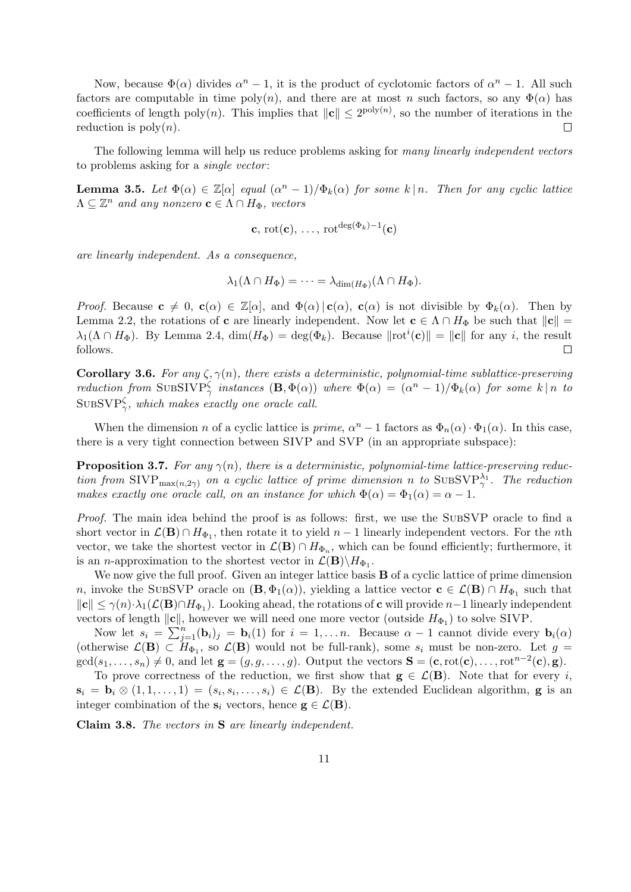Now, because  $\Phi(\alpha)$  divides  $\alpha^{n} - 1$ , it is the product of cyclotomic factors of  $\alpha^{n} - 1$ . All such factors are computable in time poly(n), and there are at most n such factors, so any  $\Phi(\alpha)$  has coefficients of length poly(n). This implies that  $||c|| \leq 2^{\text{poly}(n)}$ , so the number of iterations in the reduction is  $poly(n)$ .  $\Box$ 

The following lemma will help us reduce problems asking for many linearly independent vectors to problems asking for a *single vector*:

**Lemma 3.5.** Let  $\Phi(\alpha) \in \mathbb{Z}[\alpha]$  equal  $(\alpha^n - 1)/\Phi_k(\alpha)$  for some  $k \mid n$ . Then for any cyclic lattice  $\Lambda \subseteq \mathbb{Z}^n$  and any nonzero  $\mathbf{c} \in \Lambda \cap H_{\Phi}$ , vectors

$$
\mathbf{c}, \,\mathrm{rot}(\mathbf{c}), \,\ldots, \,\mathrm{rot}^{\deg(\Phi_k)-1}(\mathbf{c})
$$

are linearly independent. As a consequence,

$$
\lambda_1(\Lambda \cap H_{\Phi}) = \cdots = \lambda_{\dim(H_{\Phi})}(\Lambda \cap H_{\Phi}).
$$

Proof. Because  $c \neq 0$ ,  $c(\alpha) \in \mathbb{Z}[\alpha]$ , and  $\Phi(\alpha) | c(\alpha)$ ,  $c(\alpha)$  is not divisible by  $\Phi_k(\alpha)$ . Then by Lemma 2.2, the rotations of **c** are linearly independent. Now let  $c \in \Lambda \cap H_{\Phi}$  be such that  $||c|| =$  $\lambda_1(\Lambda \cap H_{\Phi})$ . By Lemma 2.4,  $\dim(H_{\Phi}) = \deg(\Phi_k)$ . Because  $\|\text{rot}^i(\mathbf{c})\| = \|\mathbf{c}\|$  for any i, the result follows. Г

**Corollary 3.6.** For any  $\zeta$ ,  $\gamma(n)$ , there exists a deterministic, polynomial-time sublattice-preserving reduction from SUBSIVP $_{\gamma}^{\zeta}$  instances  $(\mathbf{B}, \Phi(\alpha))$  where  $\Phi(\alpha) = (\alpha^{n} - 1)/\Phi_{k}(\alpha)$  for some k|n to  $\text{SUBSVP}_{\gamma}^{\zeta}$ , which makes exactly one oracle call.

When the dimension *n* of a cyclic lattice is *prime*,  $\alpha^{n} - 1$  factors as  $\Phi_{n}(\alpha) \cdot \Phi_{1}(\alpha)$ . In this case, there is a very tight connection between SIVP and SVP (in an appropriate subspace):

**Proposition 3.7.** For any  $\gamma(n)$ , there is a deterministic, polynomial-time lattice-preserving reduction from SIVP<sub>max(n,2 $\gamma$ )</sub> on a cyclic lattice of prime dimension n to SUBSVP $_{\gamma}^{\lambda_1}$ . The reduction makes exactly one oracle call, on an instance for which  $\Phi(\alpha) = \Phi_1(\alpha) = \alpha - 1$ .

Proof. The main idea behind the proof is as follows: first, we use the SUBSVP oracle to find a short vector in  $\mathcal{L}(\mathbf{B}) \cap H_{\Phi_1}$ , then rotate it to yield  $n-1$  linearly independent vectors. For the *n*th vector, we take the shortest vector in  $\mathcal{L}(\mathbf{B}) \cap H_{\Phi_n}$ , which can be found efficiently; furthermore, it is an *n*-approximation to the shortest vector in  $\mathcal{L}(\mathbf{B}) \backslash H_{\Phi_1}$ .

We now give the full proof. Given an integer lattice basis **B** of a cyclic lattice of prime dimension n, invoke the SUBSVP oracle on  $(\mathbf{B}, \Phi_1(\alpha))$ , yielding a lattice vector  $\mathbf{c} \in \mathcal{L}(\mathbf{B}) \cap H_{\Phi_1}$  such that  $\|\mathbf{c}\| \leq \gamma(n) \cdot \lambda_1(\mathcal{L}(\mathbf{B}) \cap H_{\Phi_1})$ . Looking ahead, the rotations of **c** will provide  $n-1$  linearly independent vectors of length  $\|\mathbf{c}\|$ , however we will need one more vector (outside  $H_{\Phi_1}$ ) to solve SIVP.

Now let  $s_i = \sum_{j=1}^n (\mathbf{b}_i)_j = \mathbf{b}_i(1)$  for  $i = 1, \ldots n$ . Because  $\alpha - 1$  cannot divide every  $\mathbf{b}_i(\alpha)$ (otherwise  $\mathcal{L}(\mathbf{B}) \subset H_{\Phi_1}$ , so  $\mathcal{L}(\mathbf{B})$  would not be full-rank), some  $s_i$  must be non-zero. Let  $g =$  $gcd(s_1, \ldots, s_n) \neq 0$ , and let  $\mathbf{g} = (g, g, \ldots, g)$ . Output the vectors  $\mathbf{S} = (\mathbf{c}, \text{rot}(\mathbf{c}), \ldots, \text{rot}^{n-2}(\mathbf{c}), \mathbf{g})$ .

To prove correctness of the reduction, we first show that  $g \in \mathcal{L}(B)$ . Note that for every i,  $\mathbf{s}_i = \mathbf{b}_i \otimes (1, 1, \ldots, 1) = (s_i, s_i, \ldots, s_i) \in \mathcal{L}(\mathbf{B})$ . By the extended Euclidean algorithm, **g** is an integer combination of the  $s_i$  vectors, hence  $g \in \mathcal{L}(B)$ .

Claim 3.8. The vectors in S are linearly independent.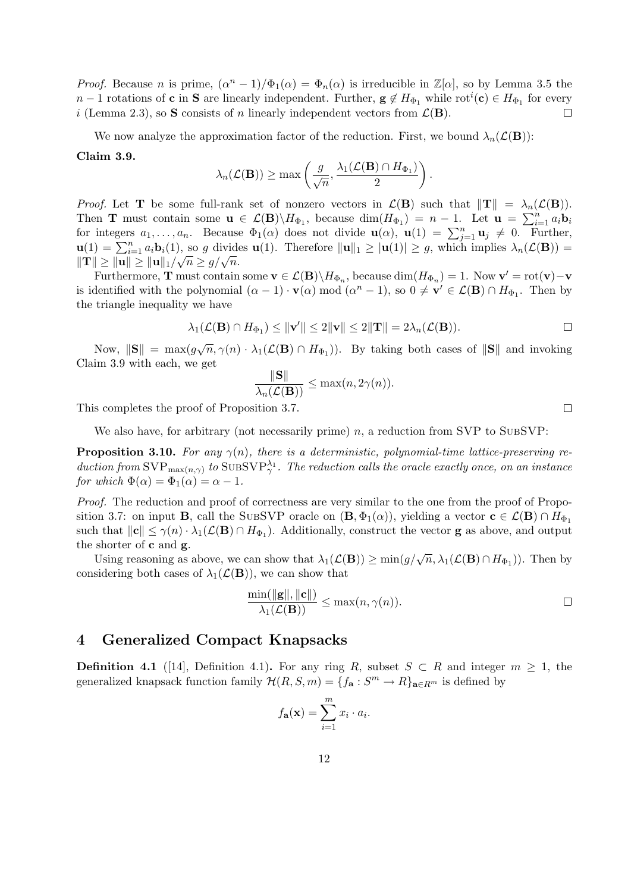*Proof.* Because *n* is prime,  $(\alpha^n - 1)/\Phi_1(\alpha) = \Phi_n(\alpha)$  is irreducible in  $\mathbb{Z}[\alpha]$ , so by Lemma 3.5 the  $n-1$  rotations of **c** in **S** are linearly independent. Further,  $g \notin H_{\Phi_1}$  while  $\mathrm{rot}^i(\mathbf{c}) \in H_{\Phi_1}$  for every i (Lemma 2.3), so S consists of n linearly independent vectors from  $\mathcal{L}(\mathbf{B})$ .  $\Box$ 

We now analyze the approximation factor of the reduction. First, we bound  $\lambda_n(\mathcal{L}(\mathbf{B}))$ :

Claim 3.9.

$$
\lambda_n(\mathcal{L}(\mathbf{B})) \ge \max\left(\frac{g}{\sqrt{n}}, \frac{\lambda_1(\mathcal{L}(\mathbf{B}) \cap H_{\Phi_1})}{2}\right)
$$

*Proof.* Let **T** be some full-rank set of nonzero vectors in  $\mathcal{L}(\mathbf{B})$  such that  $||\mathbf{T}|| = \lambda_n(\mathcal{L}(\mathbf{B})).$ Then **T** must contain some  $\mathbf{u} \in \mathcal{L}(\mathbf{B}) \setminus H_{\Phi_1}$ , because  $\dim(H_{\Phi_1}) = n - 1$ . Let  $\mathbf{u} = \sum_{i=1}^n a_i \mathbf{b}_i$ for integers  $a_1, \ldots, a_n$ . Because  $\Phi_1(\alpha)$  does not divide  $\mathbf{u}(\alpha)$ ,  $\mathbf{u}(1) = \sum_{j=1}^n \mathbf{u}_j \neq 0$ . Further,  $u(1) = \sum_{i=1}^n a_i \mathbf{b}_i(1)$ , so g divides  $u(1)$ . Therefore  $||\mathbf{u}||_1 \geq |\mathbf{u}(1)| \geq g$ , which implies  $\lambda_n(\mathcal{L}(\mathbf{B})) =$  $\mathbf{u}(1) = \sum_{i=1}^{\infty} a_i \mathbf{v}_i(1)$ , so y dividend<br> $\|\mathbf{T}\| \ge \|\mathbf{u}\| \ge \|\mathbf{u}\|_1/\sqrt{n} \ge g/\sqrt{n}$ .

Furthermore, **T** must contain some  $\mathbf{v} \in \mathcal{L}(\mathbf{B}) \setminus H_{\Phi_n}$ , because  $\dim(H_{\Phi_n}) = 1$ . Now  $\mathbf{v}' = \text{rot}(\mathbf{v}) - \mathbf{v}$ is identified with the polynomial  $(\alpha - 1) \cdot \mathbf{v}(\alpha) \mod (\alpha^n - 1)$ , so  $0 \neq \mathbf{v}' \in \mathcal{L}(\mathbf{B}) \cap H_{\Phi_1}$ . Then by the triangle inequality we have

$$
\lambda_1(\mathcal{L}(\mathbf{B}) \cap H_{\Phi_1}) \le ||\mathbf{v}'|| \le 2||\mathbf{v}|| \le 2||\mathbf{T}|| = 2\lambda_n(\mathcal{L}(\mathbf{B})).
$$

.

Now,  $\|\mathbf{S}\| = \max(g\sqrt{n}, \gamma(n) \cdot \lambda_1(\mathcal{L}(\mathbf{B}) \cap H_{\Phi_1}))$ . By taking both cases of  $\|\mathbf{S}\|$  and invoking Claim 3.9 with each, we get

$$
\frac{\|\mathbf{S}\|}{\lambda_n(\mathcal{L}(\mathbf{B}))} \leq \max(n, 2\gamma(n)).
$$

This completes the proof of Proposition 3.7.

We also have, for arbitrary (not necessarily prime)  $n$ , a reduction from SVP to SUBSVP:

**Proposition 3.10.** For any  $\gamma(n)$ , there is a deterministic, polynomial-time lattice-preserving reduction from  $\text{SVP}_{\max(n,\gamma)}$  to  $\text{SUBSVP}_{\gamma}^{\lambda_1}$ . The reduction calls the oracle exactly once, on an instance for which  $\Phi(\alpha) = \Phi_1(\alpha) = \alpha - 1$ .

Proof. The reduction and proof of correctness are very similar to the one from the proof of Proposition 3.7: on input **B**, call the SUBSVP oracle on  $(\mathbf{B}, \Phi_1(\alpha))$ , yielding a vector  $\mathbf{c} \in \mathcal{L}(\mathbf{B}) \cap H_{\Phi_1}$ such that  $||c|| \leq \gamma(n) \cdot \lambda_1(\mathcal{L}(\mathbf{B}) \cap H_{\Phi_1})$ . Additionally, construct the vector **g** as above, and output the shorter of c and g.

Using reasoning as above, we can show that  $\lambda_1(\mathcal{L}(\mathbf{B})) \ge \min(g/\sqrt{n}, \lambda_1(\mathcal{L}(\mathbf{B}) \cap H_{\Phi_1}))$ . Then by considering both cases of  $\lambda_1(\mathcal{L}(\mathbf{B}))$ , we can show that

$$
\frac{\min(\|\mathbf{g}\|, \|\mathbf{c}\|)}{\lambda_1(\mathcal{L}(\mathbf{B}))} \le \max(n, \gamma(n)).
$$

## 4 Generalized Compact Knapsacks

**Definition 4.1** ([14], Definition 4.1). For any ring R, subset  $S \subset R$  and integer  $m > 1$ , the generalized knapsack function family  $\mathcal{H}(R, S, m) = \{f_{\mathbf{a}} : S^m \to R\}_{\mathbf{a} \in R^m}$  is defined by

$$
f_{\mathbf{a}}(\mathbf{x}) = \sum_{i=1}^{m} x_i \cdot a_i.
$$

 $\Box$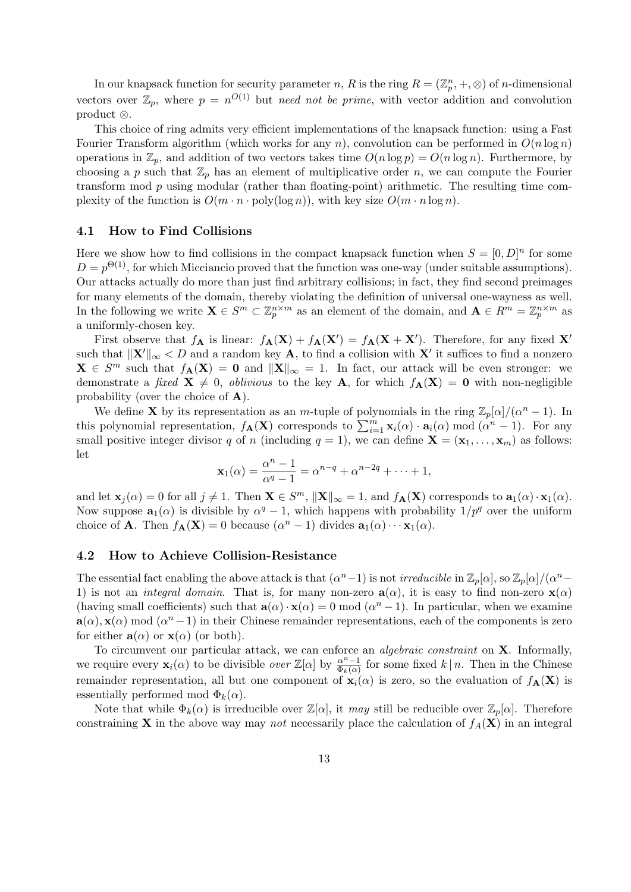In our knapsack function for security parameter n, R is the ring  $R = (\mathbb{Z}_p^n, +, \otimes)$  of n-dimensional vectors over  $\mathbb{Z}_p$ , where  $p = n^{O(1)}$  but need not be prime, with vector addition and convolution product ⊗.

This choice of ring admits very efficient implementations of the knapsack function: using a Fast Fourier Transform algorithm (which works for any n), convolution can be performed in  $O(n \log n)$ operations in  $\mathbb{Z}_p$ , and addition of two vectors takes time  $O(n \log p) = O(n \log n)$ . Furthermore, by choosing a p such that  $\mathbb{Z}_p$  has an element of multiplicative order n, we can compute the Fourier transform mod p using modular (rather than floating-point) arithmetic. The resulting time complexity of the function is  $O(m \cdot n \cdot \text{poly}(\log n))$ , with key size  $O(m \cdot n \log n)$ .

#### 4.1 How to Find Collisions

Here we show how to find collisions in the compact knapsack function when  $S = [0, D]^n$  for some  $D = p^{\Theta(1)}$ , for which Micciancio proved that the function was one-way (under suitable assumptions). Our attacks actually do more than just find arbitrary collisions; in fact, they find second preimages for many elements of the domain, thereby violating the definition of universal one-wayness as well. In the following we write  $\mathbf{X} \in S^m \subset \mathbb{Z}_p^{n \times m}$  as an element of the domain, and  $\mathbf{A} \in R^m = \mathbb{Z}_p^{n \times m}$  as a uniformly-chosen key.

First observe that  $f_{\mathbf{A}}$  is linear:  $f_{\mathbf{A}}(\mathbf{X}) + f_{\mathbf{A}}(\mathbf{X}') = f_{\mathbf{A}}(\mathbf{X} + \mathbf{X}')$ . Therefore, for any fixed  $\mathbf{X}'$ such that  $\|\mathbf{X}'\|_{\infty} < D$  and a random key **A**, to find a collision with  $\mathbf{X}'$  it suffices to find a nonzero  $\mathbf{X} \in S^m$  such that  $f_{\mathbf{A}}(\mathbf{X}) = \mathbf{0}$  and  $\|\mathbf{X}\|_{\infty} = 1$ . In fact, our attack will be even stronger: we demonstrate a fixed  $X \neq 0$ , oblivious to the key A, for which  $f_A(X) = 0$  with non-negligible probability (over the choice of A).

We define **X** by its representation as an m-tuple of polynomials in the ring  $\mathbb{Z}_p[\alpha]/(\alpha^n - 1)$ . In this polynomial representation,  $f_{\mathbf{A}}(\mathbf{X})$  corresponds to  $\sum_{i=1}^{m} \mathbf{x}_i(\alpha) \cdot \mathbf{a}_i(\alpha) \mod (\alpha^{n} - 1)$ . For any small positive integer divisor q of n (including  $q = 1$ ), we can define  $\mathbf{X} = (\mathbf{x}_1, \dots, \mathbf{x}_m)$  as follows: let

$$
\mathbf{x}_1(\alpha) = \frac{\alpha^n - 1}{\alpha^q - 1} = \alpha^{n-q} + \alpha^{n-2q} + \dots + 1,
$$

and let  $\mathbf{x}_j(\alpha) = 0$  for all  $j \neq 1$ . Then  $\mathbf{X} \in S^m$ ,  $\|\mathbf{X}\|_{\infty} = 1$ , and  $f_{\mathbf{A}}(\mathbf{X})$  corresponds to  $\mathbf{a}_1(\alpha) \cdot \mathbf{x}_1(\alpha)$ . Now suppose  $\mathbf{a}_1(\alpha)$  is divisible by  $\alpha^q - 1$ , which happens with probability  $1/p^q$  over the uniform choice of **A**. Then  $f_{\mathbf{A}}(\mathbf{X}) = 0$  because  $(\alpha^n - 1)$  divides  $\mathbf{a}_1(\alpha) \cdots \mathbf{x}_1(\alpha)$ .

#### 4.2 How to Achieve Collision-Resistance

The essential fact enabling the above attack is that  $(\alpha^n - 1)$  is not *irreducible* in  $\mathbb{Z}_p[\alpha]$ , so  $\mathbb{Z}_p[\alpha]/(\alpha^n - 1)$ 1) is not an *integral domain*. That is, for many non-zero  $a(\alpha)$ , it is easy to find non-zero  $x(\alpha)$ (having small coefficients) such that  $\mathbf{a}(\alpha) \cdot \mathbf{x}(\alpha) = 0 \mod ( \alpha^{n} - 1)$ . In particular, when we examine  $a(\alpha)$ ,  $x(\alpha)$  mod  $(\alpha^{n}-1)$  in their Chinese remainder representations, each of the components is zero for either  $a(\alpha)$  or  $x(\alpha)$  (or both).

To circumvent our particular attack, we can enforce an *algebraic constraint* on  $X$ . Informally, we require every  $\mathbf{x}_i(\alpha)$  to be divisible *over*  $\mathbb{Z}[\alpha]$  by  $\frac{\alpha^{n-1}}{\Phi_k(\alpha)}$  $\frac{\alpha^n-1}{\Phi_k(\alpha)}$  for some fixed  $k \mid n$ . Then in the Chinese remainder representation, all but one component of  $\mathbf{x}_i(\alpha)$  is zero, so the evaluation of  $f_{\mathbf{A}}(\mathbf{X})$  is essentially performed mod  $\Phi_k(\alpha)$ .

Note that while  $\Phi_k(\alpha)$  is irreducible over  $\mathbb{Z}[\alpha]$ , it may still be reducible over  $\mathbb{Z}_p[\alpha]$ . Therefore constraining **X** in the above way may not necessarily place the calculation of  $f_A(\mathbf{X})$  in an integral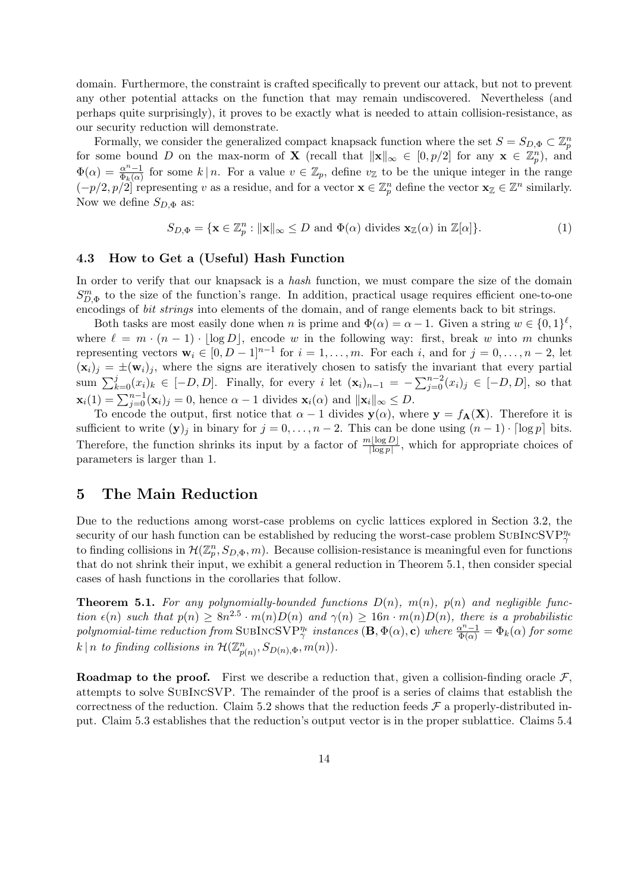domain. Furthermore, the constraint is crafted specifically to prevent our attack, but not to prevent any other potential attacks on the function that may remain undiscovered. Nevertheless (and perhaps quite surprisingly), it proves to be exactly what is needed to attain collision-resistance, as our security reduction will demonstrate.

Formally, we consider the generalized compact knapsack function where the set  $S = S_{D, \Phi} \subset \mathbb{Z}_p^n$ for some bound D on the max-norm of **X** (recall that  $||\mathbf{x}||_{\infty} \in [0, p/2]$  for any  $\mathbf{x} \in \mathbb{Z}_p^n$ ), and  $\Phi(\alpha) = \frac{\alpha^{n-1}}{\Phi(\alpha)}$  $\frac{\alpha^{n}-1}{\Phi_k(\alpha)}$  for some  $k \mid n$ . For a value  $v \in \mathbb{Z}_p$ , define  $v_{\mathbb{Z}}$  to be the unique integer in the range  $(-p/2, p/2]$  representing v as a residue, and for a vector  $\mathbf{x} \in \mathbb{Z}_p^n$  define the vector  $\mathbf{x} \in \mathbb{Z}^n$  similarly. Now we define  $S_{D,\Phi}$  as:

$$
S_{D,\Phi} = \{ \mathbf{x} \in \mathbb{Z}_p^n : ||\mathbf{x}||_{\infty} \le D \text{ and } \Phi(\alpha) \text{ divides } \mathbf{x}_{\mathbb{Z}}(\alpha) \text{ in } \mathbb{Z}[\alpha] \}. \tag{1}
$$

#### 4.3 How to Get a (Useful) Hash Function

In order to verify that our knapsack is a *hash* function, we must compare the size of the domain  $S_{D,\Phi}^{m}$  to the size of the function's range. In addition, practical usage requires efficient one-to-one encodings of bit strings into elements of the domain, and of range elements back to bit strings.

Both tasks are most easily done when n is prime and  $\Phi(\alpha) = \alpha - 1$ . Given a string  $w \in \{0,1\}^{\ell}$ , where  $\ell = m \cdot (n - 1) \cdot |\log D|$ , encode w in the following way: first, break w into m chunks representing vectors  $\mathbf{w}_i \in [0, D-1]^{n-1}$  for  $i = 1, \ldots, m$ . For each i, and for  $j = 0, \ldots, n-2$ , let  $(\mathbf{x}_i)_j = \pm(\mathbf{w}_i)_j$ , where the signs are iteratively chosen to satisfy the invariant that every partial sum  $\sum_{k=0}^{j}(x_i)_k \in [-D, D]$ . Finally, for every i let  $(\mathbf{x}_i)_{n-1} = -\sum_{j=0}^{n-2}(x_i)_j \in [-D, D]$ , so that  $\mathbf{x}_i(1) = \sum_{j=0}^{n-1} (\mathbf{x}_i)_j = 0$ , hence  $\alpha - 1$  divides  $\mathbf{x}_i(\alpha)$  and  $\|\mathbf{x}_i\|_{\infty} \leq D$ .

To encode the output, first notice that  $\alpha - 1$  divides  $y(\alpha)$ , where  $y = f_A(X)$ . Therefore it is sufficient to write  $(\mathbf{y})_j$  in binary for  $j = 0, \ldots, n-2$ . This can be done using  $(n-1) \cdot \lceil \log p \rceil$  bits. Therefore, the function shrinks its input by a factor of  $\frac{m[\log D]}{[\log p]}$ , which for appropriate choices of parameters is larger than 1.

# 5 The Main Reduction

Due to the reductions among worst-case problems on cyclic lattices explored in Section 3.2, the security of our hash function can be established by reducing the worst-case problem SUBINCSVP $_{\gamma}^{\eta_{e}}$ to finding collisions in  $\mathcal{H}(\mathbb{Z}_p^n, S_{D,\Phi}, m)$ . Because collision-resistance is meaningful even for functions that do not shrink their input, we exhibit a general reduction in Theorem 5.1, then consider special cases of hash functions in the corollaries that follow.

**Theorem 5.1.** For any polynomially-bounded functions  $D(n)$ ,  $m(n)$ ,  $p(n)$  and negligible function  $\epsilon(n)$  such that  $p(n) \geq 8n^{2.5} \cdot m(n)D(n)$  and  $\gamma(n) \geq 16n \cdot m(n)D(n)$ , there is a probabilistic polynomial-time reduction from SUBINCSVP<sup> $\eta_e$ </sup> instances  $(\mathbf{B}, \Phi(\alpha), \mathbf{c})$  where  $\frac{\alpha^n-1}{\Phi(\alpha)} = \Phi_k(\alpha)$  for some  $k \mid n$  to finding collisions in  $\mathcal{H}(\mathbb{Z}_{p(n)}^n, S_{D(n),\Phi}, m(n)).$ 

**Roadmap to the proof.** First we describe a reduction that, given a collision-finding oracle  $\mathcal{F}$ , attempts to solve SubIncSVP. The remainder of the proof is a series of claims that establish the correctness of the reduction. Claim 5.2 shows that the reduction feeds  $\mathcal F$  a properly-distributed input. Claim 5.3 establishes that the reduction's output vector is in the proper sublattice. Claims 5.4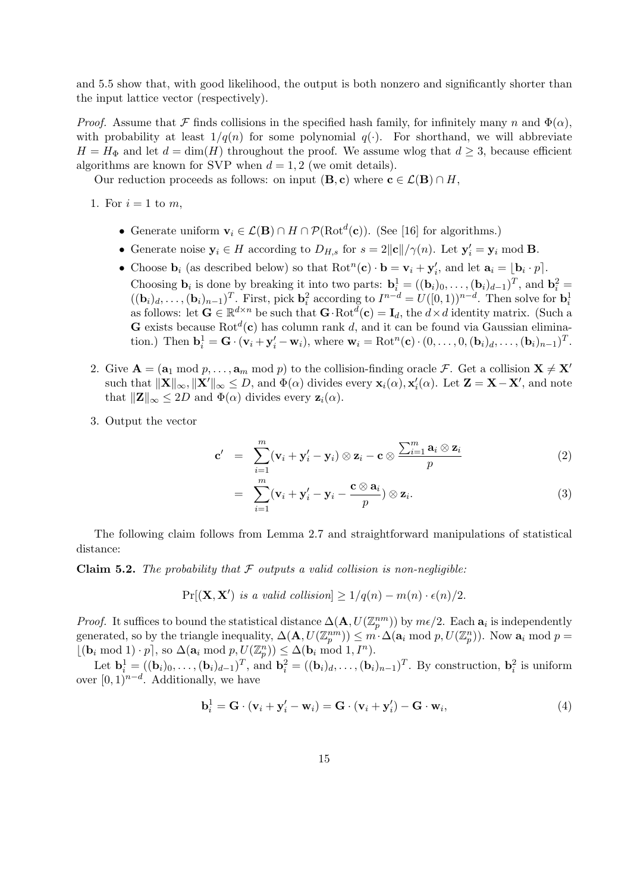and 5.5 show that, with good likelihood, the output is both nonzero and significantly shorter than the input lattice vector (respectively).

*Proof.* Assume that F finds collisions in the specified hash family, for infinitely many n and  $\Phi(\alpha)$ , with probability at least  $1/q(n)$  for some polynomial  $q(\cdot)$ . For shorthand, we will abbreviate  $H = H_{\Phi}$  and let  $d = \dim(H)$  throughout the proof. We assume wlog that  $d \geq 3$ , because efficient algorithms are known for SVP when  $d = 1, 2$  (we omit details).

Our reduction proceeds as follows: on input  $(\mathbf{B}, \mathbf{c})$  where  $\mathbf{c} \in \mathcal{L}(\mathbf{B}) \cap H$ ,

1. For  $i = 1$  to m,

- Generate uniform  $\mathbf{v}_i \in \mathcal{L}(\mathbf{B}) \cap H \cap \mathcal{P}(\mathrm{Rot}^d(\mathbf{c}))$ . (See [16] for algorithms.)
- Generate noise  $y_i \in H$  according to  $D_{H,s}$  for  $s = 2||c||/\gamma(n)$ . Let  $y'_i = y_i \mod B$ .
- Choose  $\mathbf{b}_i$  (as described below) so that  $\text{Rot}^n(\mathbf{c}) \cdot \mathbf{b} = \mathbf{v}_i + \mathbf{y}'_i$ , and let  $\mathbf{a}_i = \lfloor \mathbf{b}_i \cdot p \rfloor$ . Choosing  $\mathbf{b}_i$  is done by breaking it into two parts:  $\mathbf{b}_i^1 = ((\mathbf{b}_i)_0, \dots, (\mathbf{b}_i)_{d-1})^T$ , and  $\mathbf{b}_i^2 =$  $((\mathbf{b}_i)_d, \ldots, (\mathbf{b}_i)_{n-1})^T$ . First, pick  $\mathbf{b}_i^2$  according to  $I^{n-d} = U([0,1))^{n-d}$ . Then solve for  $\mathbf{b}_i^1$  as follows: let  $\mathbf{G} \in \mathbb{R}^{d \times n}$  be such that  $\mathbf{G} \cdot \text{Rot}^d(\mathbf{c}) = \mathbf{I}_d$ , the  $d \times d$  identit **G** exists because Rot<sup>d</sup>(c) has column rank d, and it can be found via Gaussian elimination.) Then  $\mathbf{b}_i^1 = \mathbf{G} \cdot (\mathbf{v}_i + \mathbf{y}_i' - \mathbf{w}_i)$ , where  $\mathbf{w}_i = \text{Rot}^n(\mathbf{c}) \cdot (0, \dots, 0, (\mathbf{b}_i)_d, \dots, (\mathbf{b}_i)_{n-1})^T$ .
- 2. Give  $A = (a_1 \mod p, \ldots, a_m \mod p)$  to the collision-finding oracle F. Get a collision  $X \neq X'$ such that  $\|\mathbf{X}\|_{\infty}$ ,  $\|\mathbf{X}'\|_{\infty} \leq D$ , and  $\Phi(\alpha)$  divides every  $\mathbf{x}_i(\alpha)$ ,  $\mathbf{x}'_i(\alpha)$ . Let  $\mathbf{Z} = \mathbf{X} - \mathbf{X}'$ , and note that  $||\mathbf{Z}||_{\infty} \leq 2D$  and  $\Phi(\alpha)$  divides every  $\mathbf{z}_i(\alpha)$ .
- 3. Output the vector

$$
\mathbf{c}' = \sum_{i=1}^{m} (\mathbf{v}_i + \mathbf{y}'_i - \mathbf{y}_i) \otimes \mathbf{z}_i - \mathbf{c} \otimes \frac{\sum_{i=1}^{m} \mathbf{a}_i \otimes \mathbf{z}_i}{p}
$$
(2)

$$
= \sum_{i=1}^m (\mathbf{v}_i + \mathbf{y}'_i - \mathbf{y}_i - \frac{\mathbf{c} \otimes \mathbf{a}_i}{p}) \otimes \mathbf{z}_i.
$$
 (3)

The following claim follows from Lemma 2.7 and straightforward manipulations of statistical distance:

**Claim 5.2.** The probability that  $\mathcal F$  outputs a valid collision is non-negligible:

$$
Pr[(\mathbf{X}, \mathbf{X}') \text{ is a valid collision}] \ge 1/q(n) - m(n) \cdot \epsilon(n)/2.
$$

*Proof.* It suffices to bound the statistical distance  $\Delta(\mathbf{A}, U(\mathbb{Z}_p^{nm}))$  by  $m\epsilon/2$ . Each  $\mathbf{a}_i$  is independently generated, so by the triangle inequality,  $\Delta(\mathbf{A}, U(\mathbb{Z}_p^{nm})) \leq m \cdot \Delta(\mathbf{a}_i \bmod p, U(\mathbb{Z}_p^n))$ . Now  $\mathbf{a}_i \bmod p =$  $\lfloor (\mathbf{b}_i \bmod 1) \cdot p \rceil, \text{ so } \Delta(\mathbf{a}_i \bmod p, U(\mathbb{Z}_p^n)) \leq \Delta(\mathbf{b}_i \bmod 1, I^n).$ 

Let  $\mathbf{b}_i^1 = ((\mathbf{b}_i)_0, \ldots, (\mathbf{b}_i)_{d-1})^T$ , and  $\mathbf{b}_i^2 = ((\mathbf{b}_i)_d, \ldots, (\mathbf{b}_i)_{n-1})^T$ . By construction,  $\mathbf{b}_i^2$  is uniform over  $[0,1)^{n-d}$ . Additionally, we have

$$
\mathbf{b}_i^1 = \mathbf{G} \cdot (\mathbf{v}_i + \mathbf{y}_i' - \mathbf{w}_i) = \mathbf{G} \cdot (\mathbf{v}_i + \mathbf{y}_i') - \mathbf{G} \cdot \mathbf{w}_i,
$$
(4)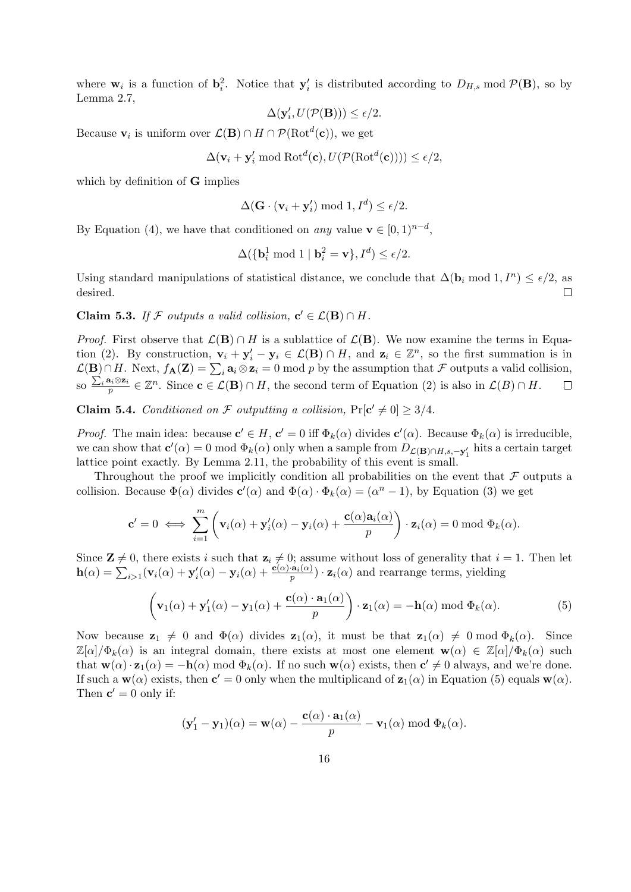where  $\mathbf{w}_i$  is a function of  $\mathbf{b}_i^2$ . Notice that  $\mathbf{y}'_i$  is distributed according to  $D_{H,s}$  mod  $\mathcal{P}(\mathbf{B})$ , so by Lemma 2.7,

$$
\Delta(\mathbf{y}_i', U(\mathcal{P}(\mathbf{B}))) \le \epsilon/2.
$$

Because  $\mathbf{v}_i$  is uniform over  $\mathcal{L}(\mathbf{B}) \cap H \cap \mathcal{P}(\mathrm{Rot}^d(\mathbf{c}))$ , we get

$$
\Delta(\mathbf{v}_i + \mathbf{y}'_i \bmod \mathrm{Rot}^d(\mathbf{c}), U(\mathcal{P}(\mathrm{Rot}^d(\mathbf{c})))) \le \epsilon/2,
$$

which by definition of **G** implies

$$
\Delta(\mathbf{G} \cdot (\mathbf{v}_i + \mathbf{y}'_i) \bmod 1, I^d) \le \epsilon/2.
$$

By Equation (4), we have that conditioned on any value  $\mathbf{v} \in [0,1)^{n-d}$ ,

$$
\Delta(\{\mathbf{b}_i^1 \bmod 1 \mid \mathbf{b}_i^2 = \mathbf{v}\}, I^d) \le \epsilon/2.
$$

Using standard manipulations of statistical distance, we conclude that  $\Delta(\mathbf{b}_i \bmod 1, I^n) \leq \epsilon/2$ , as desired.  $\Box$ 

Claim 5.3. If F outputs a valid collision,  $c' \in \mathcal{L}(\mathbf{B}) \cap H$ .

*Proof.* First observe that  $\mathcal{L}(\mathbf{B}) \cap H$  is a sublattice of  $\mathcal{L}(\mathbf{B})$ . We now examine the terms in Equation (2). By construction,  $\mathbf{v}_i + \mathbf{y}'_i - \mathbf{y}_i \in \mathcal{L}(\mathbf{B}) \cap H$ , and  $\mathbf{z}_i \in \mathbb{Z}^n$ , so the first summation is in  $\mathcal{L}(\mathbf{B}) \cap H$ . Next,  $f_{\mathbf{A}}(\mathbf{Z}) = \sum_i \mathbf{a}_i \otimes \mathbf{z}_i = 0 \text{ mod } p$  by the assumption that  $\mathcal F$  outputs a valid collision, so  $\frac{\sum_i \mathbf{a}_i \otimes \mathbf{z}_i}{n}$  $\frac{\mathbf{a}_i \otimes \mathbf{z}_i}{p} \in \mathbb{Z}^n$ . Since  $\mathbf{c} \in \mathcal{L}(\mathbf{B}) \cap H$ , the second term of Equation (2) is also in  $\mathcal{L}(B) \cap H$ .  $\Box$ 

**Claim 5.4.** Conditioned on F outputting a collision,  $Pr[c' \neq 0] \geq 3/4$ .

*Proof.* The main idea: because  $\mathbf{c}' \in H$ ,  $\mathbf{c}' = 0$  iff  $\Phi_k(\alpha)$  divides  $\mathbf{c}'(\alpha)$ . Because  $\Phi_k(\alpha)$  is irreducible, we can show that  $\mathbf{c}'(\alpha) = 0 \mod \Phi_k(\alpha)$  only when a sample from  $D_{\mathcal{L}(\mathbf{B}) \cap H, s, -\mathbf{y}'_1}$  hits a certain target lattice point exactly. By Lemma 2.11, the probability of this event is small.

Throughout the proof we implicitly condition all probabilities on the event that  $\mathcal F$  outputs a collision. Because  $\Phi(\alpha)$  divides  $\mathbf{c}'(\alpha)$  and  $\Phi(\alpha) \cdot \Phi_k(\alpha) = (\alpha^n - 1)$ , by Equation (3) we get

$$
\mathbf{c}' = 0 \iff \sum_{i=1}^m \left( \mathbf{v}_i(\alpha) + \mathbf{y}'_i(\alpha) - \mathbf{y}_i(\alpha) + \frac{\mathbf{c}(\alpha)\mathbf{a}_i(\alpha)}{p} \right) \cdot \mathbf{z}_i(\alpha) = 0 \bmod \Phi_k(\alpha).
$$

Since  $\mathbf{Z} \neq 0$ , there exists i such that  $\mathbf{z}_i \neq 0$ ; assume without loss of generality that  $i = 1$ . Then let  $h(\alpha) = \sum_{i>1} (\mathbf{v}_i(\alpha) + \mathbf{y}'_i(\alpha) - \mathbf{y}_i(\alpha) + \frac{\mathbf{c}(\alpha) \cdot \mathbf{a}_i(\alpha)}{p}) \cdot \mathbf{z}_i(\alpha)$  and rearrange terms, yielding

$$
\left(\mathbf{v}_1(\alpha) + \mathbf{y}_1'(\alpha) - \mathbf{y}_1(\alpha) + \frac{\mathbf{c}(\alpha) \cdot \mathbf{a}_1(\alpha)}{p}\right) \cdot \mathbf{z}_1(\alpha) = -\mathbf{h}(\alpha) \bmod \Phi_k(\alpha). \tag{5}
$$

Now because  $\mathbf{z}_1 \neq 0$  and  $\Phi(\alpha)$  divides  $\mathbf{z}_1(\alpha)$ , it must be that  $\mathbf{z}_1(\alpha) \neq 0 \mod \Phi_k(\alpha)$ . Since  $\mathbb{Z}[\alpha]/\Phi_k(\alpha)$  is an integral domain, there exists at most one element  $\mathbf{w}(\alpha) \in \mathbb{Z}[\alpha]/\Phi_k(\alpha)$  such that  $\mathbf{w}(\alpha) \cdot \mathbf{z}_1(\alpha) = -\mathbf{h}(\alpha) \bmod \Phi_k(\alpha)$ . If no such  $\mathbf{w}(\alpha)$  exists, then  $\mathbf{c}' \neq 0$  always, and we're done. If such a  $\mathbf{w}(\alpha)$  exists, then  $\mathbf{c}' = 0$  only when the multiplicand of  $\mathbf{z}_1(\alpha)$  in Equation (5) equals  $\mathbf{w}(\alpha)$ . Then  $\mathbf{c}' = 0$  only if:

$$
(\mathbf{y}'_1 - \mathbf{y}_1)(\alpha) = \mathbf{w}(\alpha) - \frac{\mathbf{c}(\alpha) \cdot \mathbf{a}_1(\alpha)}{p} - \mathbf{v}_1(\alpha) \bmod \Phi_k(\alpha).
$$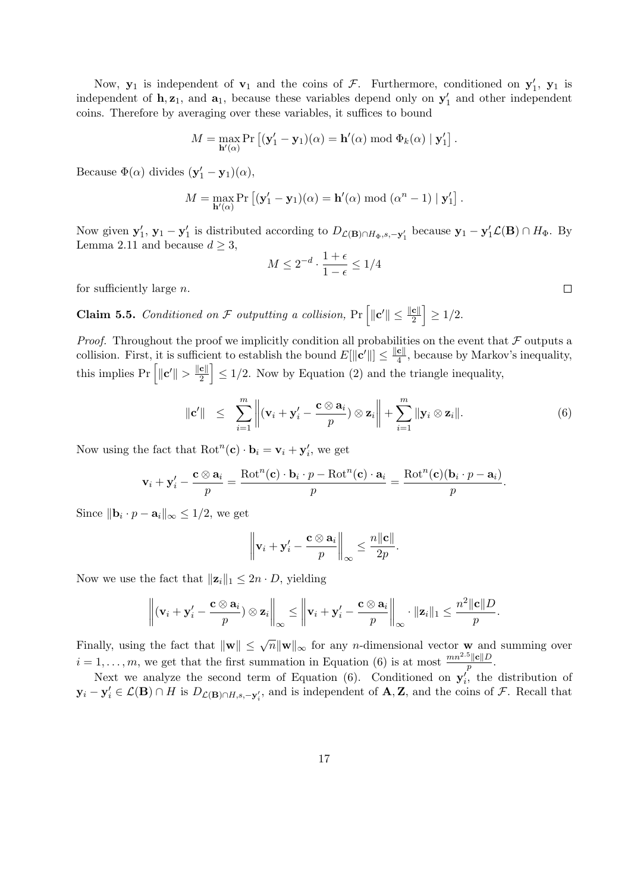Now,  $y_1$  is independent of  $v_1$  and the coins of F. Furthermore, conditioned on  $y'_1$ ,  $y_1$  is independent of  $h, z_1$ , and  $a_1$ , because these variables depend only on  $y'_1$  and other independent coins. Therefore by averaging over these variables, it suffices to bound

$$
M = \max_{\mathbf{h}'(\alpha)} \Pr\left[ (\mathbf{y}'_1 - \mathbf{y}_1)(\alpha) = \mathbf{h}'(\alpha) \bmod \Phi_k(\alpha) \mid \mathbf{y}'_1 \right].
$$

Because  $\Phi(\alpha)$  divides  $(\mathbf{y}'_1 - \mathbf{y}_1)(\alpha)$ ,

$$
M = \max_{\mathbf{h}'(\alpha)} \Pr\left[ (\mathbf{y}'_1 - \mathbf{y}_1)(\alpha) = \mathbf{h}'(\alpha) \bmod (\alpha^n - 1) \mid \mathbf{y}'_1 \right].
$$

Now given  $y'_1$ ,  $y_1 - y'_1$  is distributed according to  $D_{\mathcal{L}(\mathbf{B}) \cap H_{\Phi}, s, -y'_1}$  because  $y_1 - y'_1 \mathcal{L}(\mathbf{B}) \cap H_{\Phi}$ . By Lemma 2.11 and because  $d \geq 3$ ,

$$
M \leq 2^{-d} \cdot \frac{1+\epsilon}{1-\epsilon} \leq 1/4
$$

for sufficiently large  $n$ .

**Claim 5.5.** Conditioned on F outputting a collision,  $Pr\left[\|\mathbf{c}'\| \leq \frac{\|\mathbf{c}\|}{2}\right] \geq 1/2$ .

*Proof.* Throughout the proof we implicitly condition all probabilities on the event that  $\mathcal F$  outputs a collision. First, it is sufficient to establish the bound  $E[\Vert \mathbf{c}' \Vert] \leq \frac{\Vert \mathbf{c} \Vert}{4}$  $\frac{\mathbf{c}_{\parallel}}{4}$ , because by Markov's inequality, this implies  $Pr\left[\Vert \mathbf{c}' \Vert > \frac{\Vert \mathbf{c} \Vert}{2} \right]$  $\left\lfloor \frac{c}{2} \right\rfloor$   $\leq$  1/2. Now by Equation (2) and the triangle inequality,

$$
\|\mathbf{c}'\| \leq \sum_{i=1}^m \left\|(\mathbf{v}_i + \mathbf{y}'_i - \frac{\mathbf{c} \otimes \mathbf{a}_i}{p}) \otimes \mathbf{z}_i\right\| + \sum_{i=1}^m \|\mathbf{y}_i \otimes \mathbf{z}_i\|.
$$
 (6)

Now using the fact that  $Rot<sup>n</sup>(**c**) \cdot **b**<sub>i</sub> = **v**<sub>i</sub> + **y**'<sub>i</sub>$ , we get

$$
\mathbf{v}_{i} + \mathbf{y}'_{i} - \frac{\mathbf{c} \otimes \mathbf{a}_{i}}{p} = \frac{\text{Rot}^{n}(\mathbf{c}) \cdot \mathbf{b}_{i} \cdot p - \text{Rot}^{n}(\mathbf{c}) \cdot \mathbf{a}_{i}}{p} = \frac{\text{Rot}^{n}(\mathbf{c})(\mathbf{b}_{i} \cdot p - \mathbf{a}_{i})}{p}
$$

Since  $\|\mathbf{b}_i \cdot p - \mathbf{a}_i\|_{\infty} \le 1/2$ , we get

$$
\left\|\mathbf{v}_i+\mathbf{y}_i'-\frac{\mathbf{c}\otimes\mathbf{a}_i}{p}\right\|_{\infty}\leq\frac{n\|\mathbf{c}\|}{2p}.
$$

Now we use the fact that  $||\mathbf{z}_i||_1 \leq 2n \cdot D$ , yielding

$$
\left\|(\mathbf{v}_i+\mathbf{y}_i'-\frac{\mathbf{c}\otimes \mathbf{a}_i}{p})\otimes \mathbf{z}_i\right\|_{\infty}\leq \left\|\mathbf{v}_i+\mathbf{y}_i'-\frac{\mathbf{c}\otimes \mathbf{a}_i}{p}\right\|_{\infty}\cdot \|\mathbf{z}_i\|_1\leq \frac{n^2\|\mathbf{c}\|D}{p}.
$$

Finally, using the fact that  $\|\mathbf{w}\| \leq \sqrt{n} \|\mathbf{w}\|_{\infty}$  for any *n*-dimensional vector **w** and summing over  $i = 1, \ldots, m$ , we get that the first summation in Equation (6) is at most  $\frac{mn^{2.5}||c||D}{p}$ .

Next we analyze the second term of Equation (6). Conditioned on  $y_i'$ , the distribution of  $y_i - y_i' \in \mathcal{L}(\mathbf{B}) \cap H$  is  $D_{\mathcal{L}(\mathbf{B}) \cap H, s, -y_i'}$ , and is independent of  $\mathbf{A}, \mathbf{Z}$ , and the coins of  $\mathcal{F}$ . Recall that

 $\Box$ 

.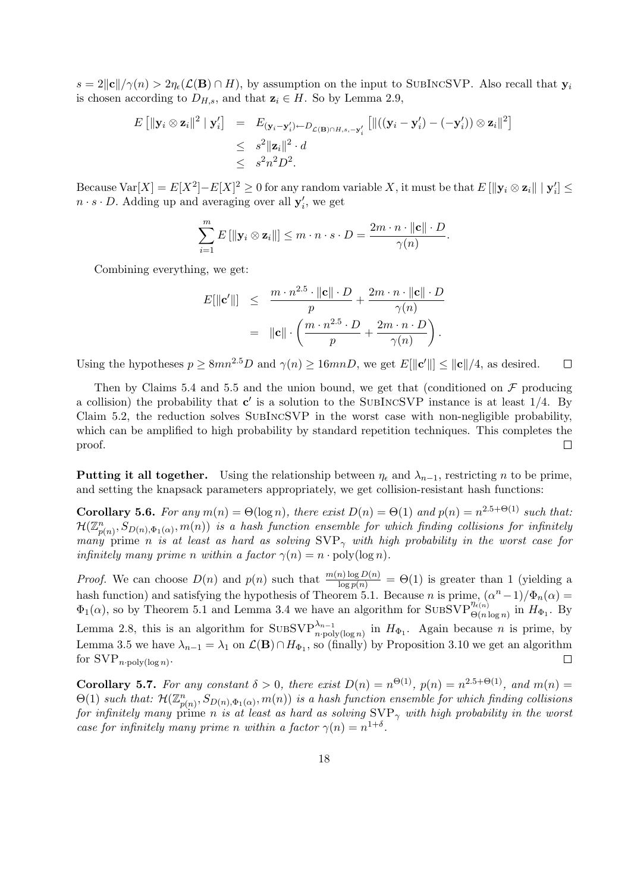$s = 2||{\bf c}||/\gamma(n) > 2\eta_{\epsilon}({\bf \mathcal{L}}({\bf B}) \cap H)$ , by assumption on the input to SUBINCSVP. Also recall that  ${\bf y}_i$ is chosen according to  $D_{H,s}$ , and that  $z_i \in H$ . So by Lemma 2.9,

$$
E\left[\|\mathbf{y}_i\otimes\mathbf{z}_i\|^2\mid\mathbf{y}_i'\right] = E_{(\mathbf{y}_i-\mathbf{y}_i')\leftarrow D_{\mathcal{L}(\mathbf{B})\cap H,s,-\mathbf{y}_i'}\left[\|((\mathbf{y}_i-\mathbf{y}_i')-(-\mathbf{y}_i'))\otimes\mathbf{z}_i\|^2\right]
$$
  

$$
\leq s^2\|\mathbf{z}_i\|^2 \cdot d
$$
  

$$
\leq s^2n^2D^2.
$$

Because  $\text{Var}[X] = E[X^2] - E[X]^2 \ge 0$  for any random variable X, it must be that  $E[\|\mathbf{y}_i \otimes \mathbf{z}_i\| \mid \mathbf{y}_i'] \le$  $n \cdot s \cdot D$ . Adding up and averaging over all  $y'_i$ , we get

$$
\sum_{i=1}^{m} E\left[\|\mathbf{y}_i \otimes \mathbf{z}_i\|\right] \leq m \cdot n \cdot s \cdot D = \frac{2m \cdot n \cdot \|\mathbf{c}\| \cdot D}{\gamma(n)}.
$$

Combining everything, we get:

$$
E[\|\mathbf{c}'\|] \leq \frac{m \cdot n^{2.5} \cdot \|\mathbf{c}\| \cdot D}{p} + \frac{2m \cdot n \cdot \|\mathbf{c}\| \cdot D}{\gamma(n)}
$$
  
= 
$$
\|\mathbf{c}\| \cdot \left( \frac{m \cdot n^{2.5} \cdot D}{p} + \frac{2m \cdot n \cdot D}{\gamma(n)} \right).
$$

Using the hypotheses  $p \geq 8mn^{2.5}D$  and  $\gamma(n) \geq 16mnD$ , we get  $E[\Vert \mathbf{c}' \Vert] \leq \Vert \mathbf{c} \Vert/4$ , as desired.  $\Box$ 

Then by Claims 5.4 and 5.5 and the union bound, we get that (conditioned on  $\mathcal F$  producing a collision) the probability that  $c'$  is a solution to the SUBINCSVP instance is at least  $1/4$ . By Claim 5.2, the reduction solves SubIncSVP in the worst case with non-negligible probability, which can be amplified to high probability by standard repetition techniques. This completes the proof.  $\Box$ 

Putting it all together. Using the relationship between  $\eta_{\epsilon}$  and  $\lambda_{n-1}$ , restricting n to be prime, and setting the knapsack parameters appropriately, we get collision-resistant hash functions:

**Corollary 5.6.** For any  $m(n) = \Theta(\log n)$ , there exist  $D(n) = \Theta(1)$  and  $p(n) = n^{2.5+\Theta(1)}$  such that:  $\mathcal{H}(\mathbb{Z}_{p(n)}^n,S_{D(n),\Phi_1(\alpha)},m(n))$  is a hash function ensemble for which finding collisions for infinitely many prime n is at least as hard as solving  $SVP_{\gamma}$  with high probability in the worst case for infinitely many prime n within a factor  $\gamma(n) = n \cdot \text{poly}(\log n)$ .

*Proof.* We can choose  $D(n)$  and  $p(n)$  such that  $\frac{m(n) \log D(n)}{\log p(n)} = \Theta(1)$  is greater than 1 (yielding a hash function) and satisfying the hypothesis of Theorem 5.1. Because n is prime,  $(\alpha^n - 1)/\Phi_n(\alpha) =$  $\Phi_1(\alpha)$ , so by Theorem 5.1 and Lemma 3.4 we have an algorithm for SUBSVP $_{\Theta(n \log n)}^{n_{\epsilon(n)}}$  in  $H_{\Phi_1}$ . By Lemma 2.8, this is an algorithm for  $SUBSVP_{n\text{-poly}(\log n)}^{\\\lambda_{n-1}}$  in  $H_{\Phi_1}$ . Again because n is prime, by Lemma 3.5 we have  $\lambda_{n-1} = \lambda_1$  on  $\mathcal{L}(\mathbf{B}) \cap H_{\Phi_1}$ , so (finally) by Proposition 3.10 we get an algorithm for  $\text{SVP}_{n\text{-poly}(\log n)}$ .  $\Box$ 

**Corollary 5.7.** For any constant  $\delta > 0$ , there exist  $D(n) = n^{\Theta(1)}$ ,  $p(n) = n^{2.5 + \Theta(1)}$ , and  $m(n) =$  $\Theta(1)$  such that:  $\mathcal{H}(\mathbb{Z}_{p(n)}^n, S_{D(n),\Phi_1(\alpha)}, m(n))$  is a hash function ensemble for which finding collisions for infinitely many prime n is at least as hard as solving  $SVP_{\gamma}$  with high probability in the worst case for infinitely many prime n within a factor  $\gamma(n) = n^{1+\delta}$ .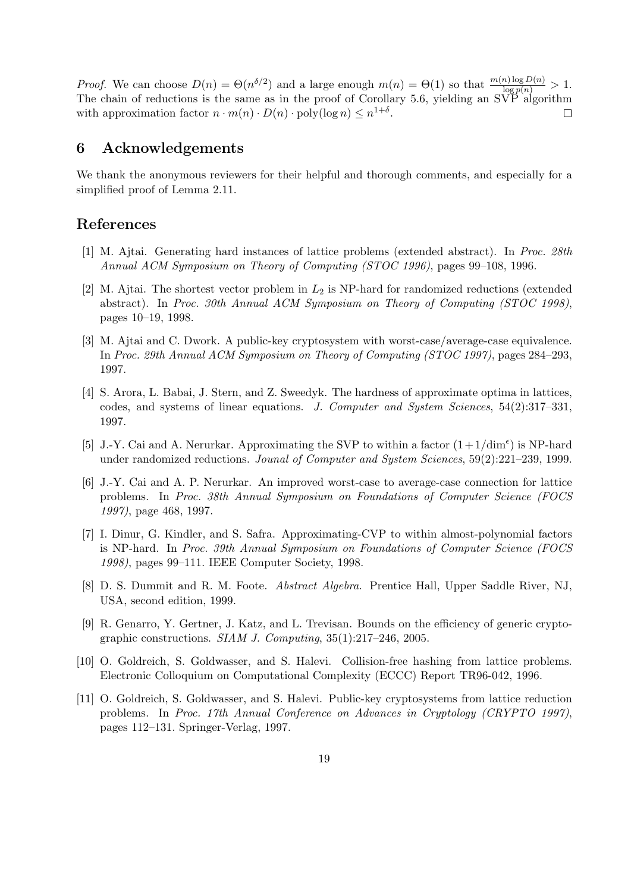*Proof.* We can choose  $D(n) = \Theta(n^{\delta/2})$  and a large enough  $m(n) = \Theta(1)$  so that  $\frac{m(n) \log D(n)}{\log p(n)} > 1$ . The chain of reductions is the same as in the proof of Corollary 5.6, yielding an  $\widetilde{\text{SVP}}$  algorithm with approximation factor  $n \cdot m(n) \cdot D(n) \cdot \text{poly}(\log n) \leq n^{1+\delta}$ .  $\Box$ 

## 6 Acknowledgements

We thank the anonymous reviewers for their helpful and thorough comments, and especially for a simplified proof of Lemma 2.11.

## References

- [1] M. Ajtai. Generating hard instances of lattice problems (extended abstract). In Proc. 28th Annual ACM Symposium on Theory of Computing (STOC 1996), pages 99–108, 1996.
- [2] M. Ajtai. The shortest vector problem in  $L_2$  is NP-hard for randomized reductions (extended abstract). In Proc. 30th Annual ACM Symposium on Theory of Computing (STOC 1998), pages 10–19, 1998.
- [3] M. Ajtai and C. Dwork. A public-key cryptosystem with worst-case/average-case equivalence. In Proc. 29th Annual ACM Symposium on Theory of Computing (STOC 1997), pages 284–293, 1997.
- [4] S. Arora, L. Babai, J. Stern, and Z. Sweedyk. The hardness of approximate optima in lattices, codes, and systems of linear equations. J. Computer and System Sciences, 54(2):317–331, 1997.
- [5] J.-Y. Cai and A. Nerurkar. Approximating the SVP to within a factor  $(1+1/\text{dim}^{\epsilon})$  is NP-hard under randomized reductions. Jounal of Computer and System Sciences, 59(2):221–239, 1999.
- [6] J.-Y. Cai and A. P. Nerurkar. An improved worst-case to average-case connection for lattice problems. In Proc. 38th Annual Symposium on Foundations of Computer Science (FOCS 1997), page 468, 1997.
- [7] I. Dinur, G. Kindler, and S. Safra. Approximating-CVP to within almost-polynomial factors is NP-hard. In Proc. 39th Annual Symposium on Foundations of Computer Science (FOCS 1998), pages 99–111. IEEE Computer Society, 1998.
- [8] D. S. Dummit and R. M. Foote. Abstract Algebra. Prentice Hall, Upper Saddle River, NJ, USA, second edition, 1999.
- [9] R. Genarro, Y. Gertner, J. Katz, and L. Trevisan. Bounds on the efficiency of generic cryptographic constructions. SIAM J. Computing, 35(1):217–246, 2005.
- [10] O. Goldreich, S. Goldwasser, and S. Halevi. Collision-free hashing from lattice problems. Electronic Colloquium on Computational Complexity (ECCC) Report TR96-042, 1996.
- [11] O. Goldreich, S. Goldwasser, and S. Halevi. Public-key cryptosystems from lattice reduction problems. In Proc. 17th Annual Conference on Advances in Cryptology (CRYPTO 1997), pages 112–131. Springer-Verlag, 1997.